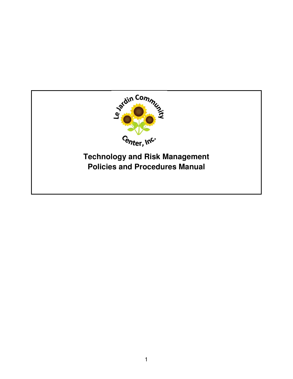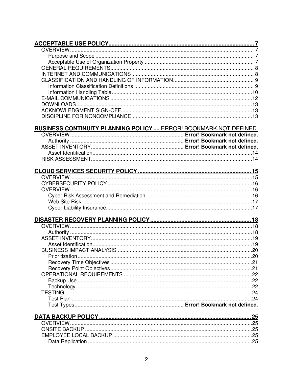| <b>BUSINESS CONTINUITY PLANNING POLICY  ERROR! BOOKMARK NOT DEFINED.</b> |  |
|--------------------------------------------------------------------------|--|
|                                                                          |  |
|                                                                          |  |
|                                                                          |  |
|                                                                          |  |
|                                                                          |  |
|                                                                          |  |
|                                                                          |  |
|                                                                          |  |
|                                                                          |  |
|                                                                          |  |
|                                                                          |  |
|                                                                          |  |
|                                                                          |  |
|                                                                          |  |
|                                                                          |  |
|                                                                          |  |
|                                                                          |  |
|                                                                          |  |
|                                                                          |  |
|                                                                          |  |
|                                                                          |  |
|                                                                          |  |
|                                                                          |  |
|                                                                          |  |
|                                                                          |  |
|                                                                          |  |
|                                                                          |  |
|                                                                          |  |
|                                                                          |  |
|                                                                          |  |
|                                                                          |  |
|                                                                          |  |
|                                                                          |  |
|                                                                          |  |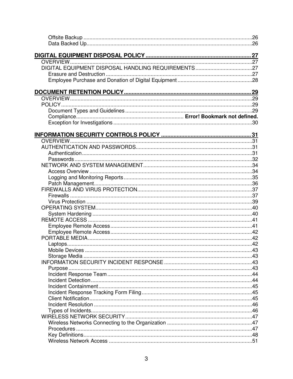| .43 |
|-----|
|     |
|     |
|     |
|     |
|     |
|     |
|     |
|     |
|     |
|     |
|     |
|     |
|     |
|     |
|     |
|     |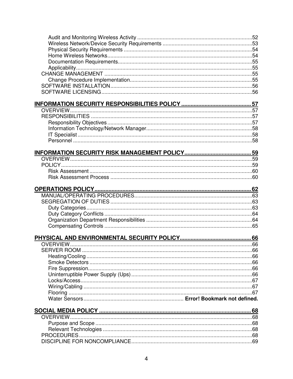| .67 |
|-----|
|     |
|     |
|     |
|     |
|     |
|     |
|     |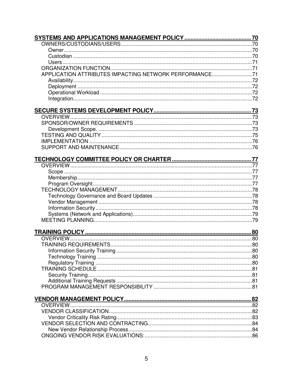| APPLICATION ATTRIBUTES IMPACTING NETWORK PERFORMANCE71 |  |
|--------------------------------------------------------|--|
|                                                        |  |
|                                                        |  |
|                                                        |  |
|                                                        |  |
|                                                        |  |
|                                                        |  |
|                                                        |  |
|                                                        |  |
|                                                        |  |
|                                                        |  |
|                                                        |  |
|                                                        |  |
|                                                        |  |
|                                                        |  |
|                                                        |  |
|                                                        |  |
|                                                        |  |
|                                                        |  |
|                                                        |  |
|                                                        |  |
|                                                        |  |
|                                                        |  |
|                                                        |  |
|                                                        |  |
|                                                        |  |
|                                                        |  |
|                                                        |  |
|                                                        |  |
|                                                        |  |
|                                                        |  |
|                                                        |  |
|                                                        |  |
|                                                        |  |
|                                                        |  |
|                                                        |  |
|                                                        |  |
|                                                        |  |
|                                                        |  |
|                                                        |  |
|                                                        |  |
|                                                        |  |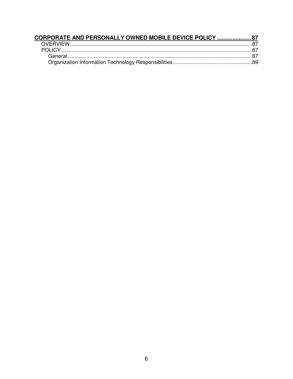| CORPORATE AND PERSONALLY OWNED MOBILE DEVICE POLICY  87 |  |
|---------------------------------------------------------|--|
|                                                         |  |
|                                                         |  |
|                                                         |  |
|                                                         |  |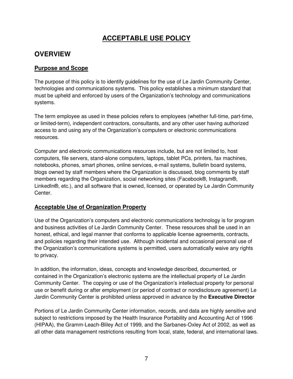# **ACCEPTABLE USE POLICY**

## **OVERVIEW**

### **Purpose and Scope**

The purpose of this policy is to identify guidelines for the use of Le Jardin Community Center, technologies and communications systems. This policy establishes a minimum standard that must be upheld and enforced by users of the Organization's technology and communications systems.

The term employee as used in these policies refers to employees (whether full-time, part-time, or limited-term), independent contractors, consultants, and any other user having authorized access to and using any of the Organization's computers or electronic communications resources.

Computer and electronic communications resources include, but are not limited to, host computers, file servers, stand-alone computers, laptops, tablet PCs, printers, fax machines, notebooks, phones, smart phones, online services, e-mail systems, bulletin board systems, blogs owned by staff members where the Organization is discussed, blog comments by staff members regarding the Organization, social networking sites (Facebook®, Instagram®, LinkedIn®, etc.), and all software that is owned, licensed, or operated by Le Jardin Community Center.

## **Acceptable Use of Organization Property**

Use of the Organization's computers and electronic communications technology is for program and business activities of Le Jardin Community Center. These resources shall be used in an honest, ethical, and legal manner that conforms to applicable license agreements, contracts, and policies regarding their intended use. Although incidental and occasional personal use of the Organization's communications systems is permitted, users automatically waive any rights to privacy.

In addition, the information, ideas, concepts and knowledge described, documented, or contained in the Organization's electronic systems are the intellectual property of Le Jardin Community Center. The copying or use of the Organization's intellectual property for personal use or benefit during or after employment (or period of contract or nondisclosure agreement) Le Jardin Community Center is prohibited unless approved in advance by the **Executive Director** 

Portions of Le Jardin Community Center information, records, and data are highly sensitive and subject to restrictions imposed by the Health Insurance Portability and Accounting Act of 1996 (HIPAA), the Gramm-Leach-Bliley Act of 1999, and the Sarbanes-Oxley Act of 2002, as well as all other data management restrictions resulting from local, state, federal, and international laws.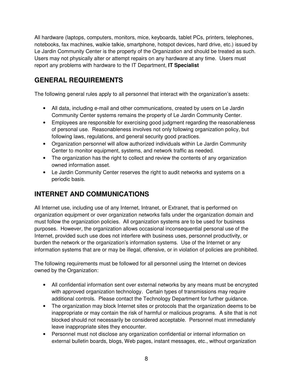All hardware (laptops, computers, monitors, mice, keyboards, tablet PCs, printers, telephones, notebooks, fax machines, walkie talkie, smartphone, hotspot devices, hard drive, etc.) issued by Le Jardin Community Center is the property of the Organization and should be treated as such. Users may not physically alter or attempt repairs on any hardware at any time. Users must report any problems with hardware to the IT Department, **IT Specialist** 

# **GENERAL REQUIREMENTS**

The following general rules apply to all personnel that interact with the organization's assets:

- All data, including e-mail and other communications, created by users on Le Jardin Community Center systems remains the property of Le Jardin Community Center.
- Employees are responsible for exercising good judgment regarding the reasonableness of personal use. Reasonableness involves not only following organization policy, but following laws, regulations, and general security good practices.
- Organization personnel will allow authorized individuals within Le Jardin Community Center to monitor equipment, systems, and network traffic as needed.
- The organization has the right to collect and review the contents of any organization owned information asset.
- Le Jardin Community Center reserves the right to audit networks and systems on a periodic basis.

# **INTERNET AND COMMUNICATIONS**

All Internet use, including use of any Internet, Intranet, or Extranet, that is performed on organization equipment or over organization networks falls under the organization domain and must follow the organization policies. All organization systems are to be used for business purposes. However, the organization allows occasional inconsequential personal use of the Internet, provided such use does not interfere with business uses, personnel productivity, or burden the network or the organization's information systems. Use of the Internet or any information systems that are or may be illegal, offensive, or in violation of policies are prohibited.

The following requirements must be followed for all personnel using the Internet on devices owned by the Organization:

- All confidential information sent over external networks by any means must be encrypted with approved organization technology. Certain types of transmissions may require additional controls. Please contact the Technology Department for further guidance.
- The organization may block Internet sites or protocols that the organization deems to be inappropriate or may contain the risk of harmful or malicious programs. A site that is not blocked should not necessarily be considered acceptable. Personnel must immediately leave inappropriate sites they encounter.
- Personnel must not disclose any organization confidential or internal information on external bulletin boards, blogs, Web pages, instant messages, etc., without organization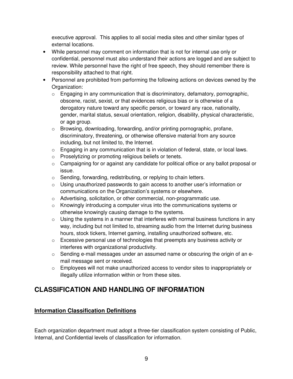executive approval. This applies to all social media sites and other similar types of external locations.

- While personnel may comment on information that is not for internal use only or confidential, personnel must also understand their actions are logged and are subject to review. While personnel have the right of free speech, they should remember there is responsibility attached to that right.
- Personnel are prohibited from performing the following actions on devices owned by the Organization:
	- o Engaging in any communication that is discriminatory, defamatory, pornographic, obscene, racist, sexist, or that evidences religious bias or is otherwise of a derogatory nature toward any specific person, or toward any race, nationality, gender, marital status, sexual orientation, religion, disability, physical characteristic, or age group.
	- o Browsing, downloading, forwarding, and/or printing pornographic, profane, discriminatory, threatening, or otherwise offensive material from any source including, but not limited to, the Internet.
	- $\circ$  Engaging in any communication that is in violation of federal, state, or local laws.
	- o Proselytizing or promoting religious beliefs or tenets.
	- $\circ$  Campaigning for or against any candidate for political office or any ballot proposal or issue.
	- o Sending, forwarding, redistributing, or replying to chain letters.
	- $\circ$  Using unauthorized passwords to gain access to another user's information or communications on the Organization's systems or elsewhere.
	- o Advertising, solicitation, or other commercial, non-programmatic use.
	- $\circ$  Knowingly introducing a computer virus into the communications systems or otherwise knowingly causing damage to the systems.
	- $\circ$  Using the systems in a manner that interferes with normal business functions in any way, including but not limited to, streaming audio from the Internet during business hours, stock tickers, Internet gaming, installing unauthorized software, etc.
	- $\circ$  Excessive personal use of technologies that preempts any business activity or interferes with organizational productivity.
	- $\circ$  Sending e-mail messages under an assumed name or obscuring the origin of an email message sent or received.
	- o Employees will not make unauthorized access to vendor sites to inappropriately or illegally utilize information within or from these sites.

# **CLASSIFICATION AND HANDLING OF INFORMATION**

## **Information Classification Definitions**

Each organization department must adopt a three-tier classification system consisting of Public, Internal, and Confidential levels of classification for information.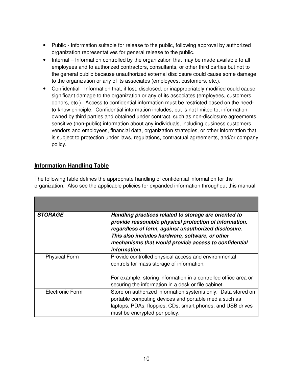- Public Information suitable for release to the public, following approval by authorized organization representatives for general release to the public.
- Internal Information controlled by the organization that may be made available to all employees and to authorized contractors, consultants, or other third parties but not to the general public because unauthorized external disclosure could cause some damage to the organization or any of its associates (employees, customers, etc.).
- Confidential Information that, if lost, disclosed, or inappropriately modified could cause significant damage to the organization or any of its associates (employees, customers, donors, etc.). Access to confidential information must be restricted based on the needto-know principle. Confidential information includes, but is not limited to, information owned by third parties and obtained under contract, such as non-disclosure agreements, sensitive (non-public) information about any individuals, including business customers, vendors and employees, financial data, organization strategies, or other information that is subject to protection under laws, regulations, contractual agreements, and/or company policy.

## **Information Handling Table**

| The following table defines the appropriate handling of confidential information for the        |
|-------------------------------------------------------------------------------------------------|
| organization. Also see the applicable policies for expanded information throughout this manual. |

| <b>STORAGE</b>       | Handling practices related to storage are oriented to<br>provide reasonable physical protection of information,<br>regardless of form, against unauthorized disclosure.<br>This also includes hardware, software, or other<br>mechanisms that would provide access to confidential<br>information. |
|----------------------|----------------------------------------------------------------------------------------------------------------------------------------------------------------------------------------------------------------------------------------------------------------------------------------------------|
| <b>Physical Form</b> | Provide controlled physical access and environmental<br>controls for mass storage of information.<br>For example, storing information in a controlled office area or<br>securing the information in a desk or file cabinet.                                                                        |
| Electronic Form      | Store on authorized information systems only. Data stored on<br>portable computing devices and portable media such as<br>laptops, PDAs, floppies, CDs, smart phones, and USB drives<br>must be encrypted per policy.                                                                               |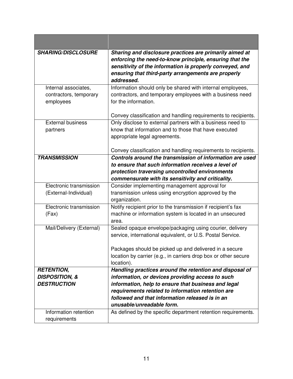| <b>SHARING/DISCLOSURE</b> | Sharing and disclosure practices are primarily aimed at         |
|---------------------------|-----------------------------------------------------------------|
|                           | enforcing the need-to-know principle, ensuring that the         |
|                           | sensitivity of the information is properly conveyed, and        |
|                           | ensuring that third-party arrangements are properly             |
|                           | addressed.                                                      |
| Internal associates,      | Information should only be shared with internal employees,      |
| contractors, temporary    | contractors, and temporary employees with a business need       |
| employees                 | for the information.                                            |
|                           |                                                                 |
|                           | Convey classification and handling requirements to recipients.  |
| <b>External business</b>  | Only disclose to external partners with a business need to      |
| partners                  | know that information and to those that have executed           |
|                           | appropriate legal agreements.                                   |
|                           |                                                                 |
|                           | Convey classification and handling requirements to recipients.  |
| <b>TRANSMISSION</b>       | Controls around the transmission of information are used        |
|                           | to ensure that such information receives a level of             |
|                           | protection traversing uncontrolled environments                 |
|                           | commensurate with its sensitivity and criticality.              |
| Electronic transmission   | Consider implementing management approval for                   |
| (External-Individual)     | transmission unless using encryption approved by the            |
|                           | organization.                                                   |
| Electronic transmission   | Notify recipient prior to the transmission if recipient's fax   |
| (Fax)                     | machine or information system is located in an unsecured        |
|                           | area.                                                           |
| Mail/Delivery (External)  | Sealed opaque envelope/packaging using courier, delivery        |
|                           | service, international equivalent, or U.S. Postal Service.      |
|                           |                                                                 |
|                           | Packages should be picked up and delivered in a secure          |
|                           | location by carrier (e.g., in carriers drop box or other secure |
|                           | location).                                                      |
| <b>RETENTION,</b>         | Handling practices around the retention and disposal of         |
| <b>DISPOSITION, &amp;</b> | information, or devices providing access to such                |
| <b>DESTRUCTION</b>        | information, help to ensure that business and legal             |
|                           | requirements related to information retention are               |
|                           | followed and that information released is in an                 |
|                           | unusable/unreadable form.                                       |
| Information retention     | As defined by the specific department retention requirements.   |
| requirements              |                                                                 |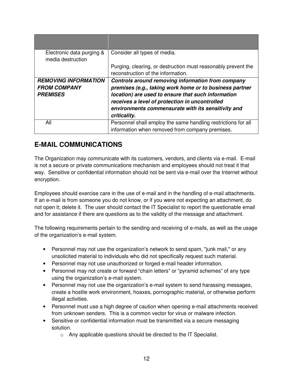| Electronic data purging &<br>media destruction | Consider all types of media.                                                                        |
|------------------------------------------------|-----------------------------------------------------------------------------------------------------|
|                                                | Purging, clearing, or destruction must reasonably prevent the<br>reconstruction of the information. |
| <b>REMOVING INFORMATION</b>                    | Controls around removing information from company                                                   |
| <b>FROM COMPANY</b>                            | premises (e.g., taking work home or to business partner                                             |
| <b>PREMISES</b>                                | location) are used to ensure that such information                                                  |
|                                                | receives a level of protection in uncontrolled                                                      |
|                                                | environments commensurate with its sensitivity and                                                  |
|                                                | criticality.                                                                                        |
| All                                            | Personnel shall employ the same handling restrictions for all                                       |
|                                                | information when removed from company premises.                                                     |

# **E-MAIL COMMUNICATIONS**

The Organization may communicate with its customers, vendors, and clients via e-mail. E-mail is not a secure or private communications mechanism and employees should not treat it that way. Sensitive or confidential information should not be sent via e-mail over the Internet without encryption.

Employees should exercise care in the use of e-mail and in the handling of e-mail attachments. If an e-mail is from someone you do not know, or if you were not expecting an attachment, do not open it; delete it. The user should contact the IT Specialist to report the questionable email and for assistance if there are questions as to the validity of the message and attachment.

The following requirements pertain to the sending and receiving of e-mails, as well as the usage of the organization's e-mail system.

- Personnel may not use the organization's network to send spam, "junk mail," or any unsolicited material to individuals who did not specifically request such material.
- Personnel may not use unauthorized or forged e-mail header information.
- Personnel may not create or forward "chain letters" or "pyramid schemes" of any type using the organization's e-mail system.
- Personnel may not use the organization's e-mail system to send harassing messages, create a hostile work environment, hoaxes, pornographic material, or otherwise perform illegal activities.
- Personnel must use a high degree of caution when opening e-mail attachments received from unknown senders. This is a common vector for virus or malware infection.
- Sensitive or confidential information must be transmitted via a secure messaging solution.
	- o Any applicable questions should be directed to the IT Specialist.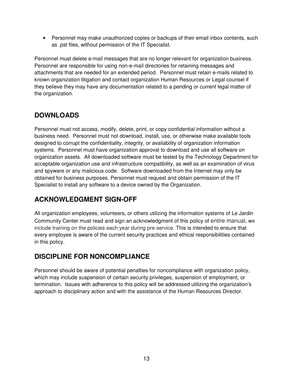• Personnel may make unauthorized copies or backups of their email inbox contents, such as .pst files, without permission of the IT Specialist.

Personnel must delete e-mail messages that are no longer relevant for organization business. Personnel are responsible for using non-e-mail directories for retaining messages and attachments that are needed for an extended period. Personnel must retain e-mails related to known organization litigation and contact organization Human Resources or Legal counsel if they believe they may have any documentation related to a pending or current legal matter of the organization.

# **DOWNLOADS**

Personnel must not access, modify, delete, print, or copy confidential information without a business need. Personnel must not download, install, use, or otherwise make available tools designed to corrupt the confidentiality, integrity, or availability of organization information systems. Personnel must have organization approval to download and use all software on organization assets. All downloaded software must be tested by the Technology Department for acceptable organization use and infrastructure compatibility, as well as an examination of virus and spyware or any malicious code. Software downloaded from the Internet may only be obtained for business purposes. Personnel must request and obtain permission of the IT Specialist to install any software to a device owned by the Organization.

# **ACKNOWLEDGMENT SIGN-OFF**

All organization employees, volunteers, or others utilizing the information systems of Le Jardin Community Center must read and sign an acknowledgment of this policy of entire manual, we include training on the policies each year during pre-service. This is intended to ensure that every employee is aware of the current security practices and ethical responsibilities contained in this policy.

# **DISCIPLINE FOR NONCOMPLIANCE**

Personnel should be aware of potential penalties for noncompliance with organization policy, which may include suspension of certain security privileges, suspension of employment, or termination. Issues with adherence to this policy will be addressed utilizing the organization's approach to disciplinary action and with the assistance of the Human Resources Director.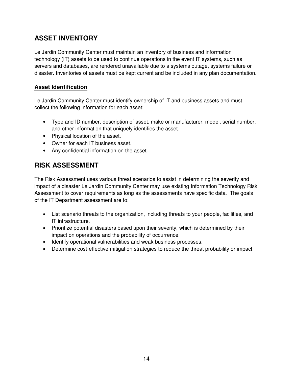# **ASSET INVENTORY**

Le Jardin Community Center must maintain an inventory of business and information technology (IT) assets to be used to continue operations in the event IT systems, such as servers and databases, are rendered unavailable due to a systems outage, systems failure or disaster. Inventories of assets must be kept current and be included in any plan documentation.

## **Asset Identification**

Le Jardin Community Center must identify ownership of IT and business assets and must collect the following information for each asset:

- Type and ID number, description of asset, make or manufacturer, model, serial number, and other information that uniquely identifies the asset.
- Physical location of the asset.
- Owner for each IT business asset.
- Any confidential information on the asset.

# **RISK ASSESSMENT**

The Risk Assessment uses various threat scenarios to assist in determining the severity and impact of a disaster Le Jardin Community Center may use existing Information Technology Risk Assessment to cover requirements as long as the assessments have specific data. The goals of the IT Department assessment are to:

- List scenario threats to the organization, including threats to your people, facilities, and IT infrastructure.
- Prioritize potential disasters based upon their severity, which is determined by their impact on operations and the probability of occurrence.
- Identify operational vulnerabilities and weak business processes.
- Determine cost-effective mitigation strategies to reduce the threat probability or impact.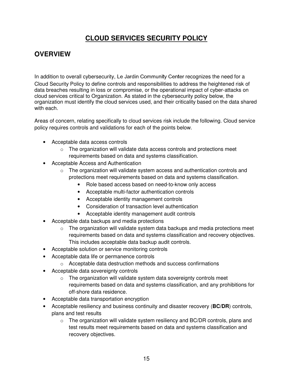# **CLOUD SERVICES SECURITY POLICY**

## **OVERVIEW**

In addition to overall cybersecurity, Le Jardin Community Center recognizes the need for a Cloud Security Policy to define controls and responsibilities to address the heightened risk of data breaches resulting in loss or compromise, or the operational impact of cyber-attacks on cloud services critical to Organization. As stated in the cybersecurity policy below, the organization must identify the cloud services used, and their criticality based on the data shared with each.

Areas of concern, relating specifically to cloud services risk include the following. Cloud service policy requires controls and validations for each of the points below.

- Acceptable data access controls
	- $\circ$  The organization will validate data access controls and protections meet requirements based on data and systems classification.
- Acceptable Access and Authentication
	- $\circ$  The organization will validate system access and authentication controls and protections meet requirements based on data and systems classification.
		- Role based access based on need-to-know only access
		- Acceptable multi-factor authentication controls
		- Acceptable identity management controls
		- Consideration of transaction level authentication
		- Acceptable identity management audit controls
- Acceptable data backups and media protections
	- $\circ$  The organization will validate system data backups and media protections meet requirements based on data and systems classification and recovery objectives. This includes acceptable data backup audit controls.
- Acceptable solution or service monitoring controls
- Acceptable data life or permanence controls
	- o Acceptable data destruction methods and success confirmations
- Acceptable data sovereignty controls
	- $\circ$  The organization will validate system data sovereignty controls meet requirements based on data and systems classification, and any prohibitions for off-shore data residence.
- Acceptable data transportation encryption
- Acceptable resiliency and business continuity and disaster recovery (**BC/DR**) controls, plans and test results
	- $\circ$  The organization will validate system resiliency and BC/DR controls, plans and test results meet requirements based on data and systems classification and recovery objectives.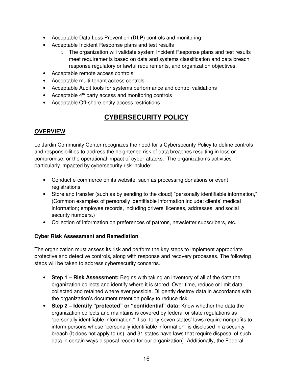- Acceptable Data Loss Prevention (**DLP**) controls and monitoring
- Acceptable Incident Response plans and test results
	- $\circ$  The organization will validate system Incident Response plans and test results meet requirements based on data and systems classification and data breach response regulatory or lawful requirements, and organization objectives.
- Acceptable remote access controls
- Acceptable multi-tenant access controls
- Acceptable Audit tools for systems performance and control validations
- Acceptable 4<sup>th</sup> party access and monitoring controls
- Acceptable Off-shore entity access restrictions

# **CYBERSECURITY POLICY**

## **OVERVIEW**

Le Jardin Community Center recognizes the need for a Cybersecurity Policy to define controls and responsibilities to address the heightened risk of data breaches resulting in loss or compromise, or the operational impact of cyber-attacks. The organization's activities particularly impacted by cybersecurity risk include:

- Conduct e-commerce on its website, such as processing donations or event registrations.
- Store and transfer (such as by sending to the cloud) "personally identifiable information," (Common examples of personally identifiable information include: clients' medical information; employee records, including drivers' licenses, addresses, and social security numbers.)
- Collection of information on preferences of patrons, newsletter subscribers, etc.

#### **Cyber Risk Assessment and Remediation**

The organization must assess its risk and perform the key steps to implement appropriate protective and detective controls, along with response and recovery processes. The following steps will be taken to address cybersecurity concerns.

- **Step 1 Risk Assessment:** Begins with taking an inventory of all of the data the organization collects and identify where it is stored. Over time, reduce or limit data collected and retained where ever possible. Diligently destroy data in accordance with the organization's document retention policy to reduce risk.
- **Step 2 Identify "protected" or "confidential" data:** Know whether the data the organization collects and maintains is covered by federal or state regulations as "personally identifiable information." If so, forty-seven states' laws require nonprofits to inform persons whose "personally identifiable information" is disclosed in a security breach (It does not apply to us), and 31 states have laws that require disposal of such data in certain ways disposal record for our organization). Additionally, the Federal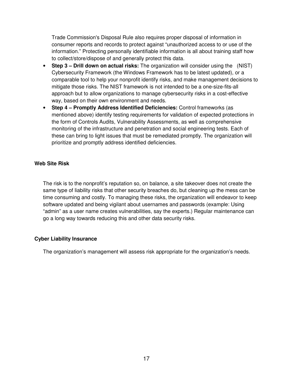Trade Commission's Disposal Rule also requires proper disposal of information in consumer reports and records to protect against "unauthorized access to or use of the information." Protecting personally identifiable information is all about training staff how to collect/store/dispose of and generally protect this data.

- **Step 3 Drill down on actual risks:** The organization will consider using the (NIST) Cybersecurity Framework (the Windows Framework has to be latest updated), or a comparable tool to help your nonprofit identify risks, and make management decisions to mitigate those risks. The NIST framework is not intended to be a one-size-fits-all approach but to allow organizations to manage cybersecurity risks in a cost-effective way, based on their own environment and needs.
- **Step 4 Promptly Address Identified Deficiencies:** Control frameworks (as mentioned above) identify testing requirements for validation of expected protections in the form of Controls Audits, Vulnerability Assessments, as well as comprehensive monitoring of the infrastructure and penetration and social engineering tests. Each of these can bring to light issues that must be remediated promptly. The organization will prioritize and promptly address identified deficiencies.

#### **Web Site Risk**

The risk is to the nonprofit's reputation so, on balance, a site takeover does not create the same type of liability risks that other security breaches do, but cleaning up the mess can be time consuming and costly. To managing these risks, the organization will endeavor to keep software updated and being vigilant about usernames and passwords (example: Using "admin" as a user name creates vulnerabilities, say the experts.) Regular maintenance can go a long way towards reducing this and other data security risks.

#### **Cyber Liability Insurance**

The organization's management will assess risk appropriate for the organization's needs.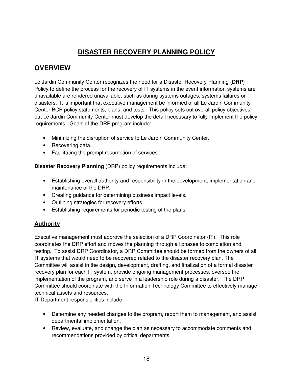# **DISASTER RECOVERY PLANNING POLICY**

## **OVERVIEW**

Le Jardin Community Center recognizes the need for a Disaster Recovery Planning (**DRP**) Policy to define the process for the recovery of IT systems in the event information systems are unavailable are rendered unavailable, such as during systems outages, systems failures or disasters. It is important that executive management be informed of all Le Jardin Community Center BCP policy statements, plans, and tests. This policy sets out overall policy objectives, but Le Jardin Community Center must develop the detail necessary to fully implement the policy requirements. Goals of the DRP program include:

- Minimizing the disruption of service to Le Jardin Community Center.
- Recovering data.
- Facilitating the prompt resumption of services.

**Disaster Recovery Planning** (DRP) policy requirements include:

- Establishing overall authority and responsibility in the development, implementation and maintenance of the DRP.
- Creating guidance for determining business impact levels.
- Outlining strategies for recovery efforts.
- Establishing requirements for periodic testing of the plans.

## **Authority**

Executive management must approve the selection of a DRP Coordinator (IT). This role coordinates the DRP effort and moves the planning through all phases to completion and testing. To assist DRP Coordinator, a DRP Committee should be formed from the owners of all IT systems that would need to be recovered related to the disaster recovery plan. The Committee will assist in the design, development, drafting, and finalization of a formal disaster recovery plan for each IT system, provide ongoing management processes, oversee the implementation of the program, and serve in a leadership role during a disaster. The DRP Committee should coordinate with the Information Technology Committee to effectively manage technical assets and resources.

IT Department responsibilities include:

- Determine any needed changes to the program, report them to management, and assist departmental implementation.
- Review, evaluate, and change the plan as necessary to accommodate comments and recommendations provided by critical departments.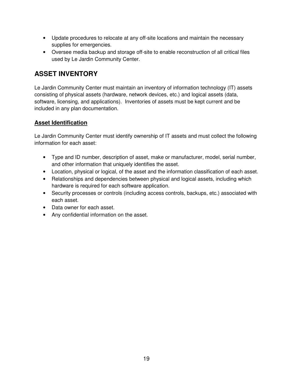- Update procedures to relocate at any off-site locations and maintain the necessary supplies for emergencies.
- Oversee media backup and storage off-site to enable reconstruction of all critical files used by Le Jardin Community Center.

# **ASSET INVENTORY**

Le Jardin Community Center must maintain an inventory of information technology (IT) assets consisting of physical assets (hardware, network devices, etc.) and logical assets (data, software, licensing, and applications). Inventories of assets must be kept current and be included in any plan documentation.

## **Asset Identification**

Le Jardin Community Center must identify ownership of IT assets and must collect the following information for each asset:

- Type and ID number, description of asset, make or manufacturer, model, serial number, and other information that uniquely identifies the asset.
- Location, physical or logical, of the asset and the information classification of each asset.
- Relationships and dependencies between physical and logical assets, including which hardware is required for each software application.
- Security processes or controls (including access controls, backups, etc.) associated with each asset.
- Data owner for each asset.
- Any confidential information on the asset.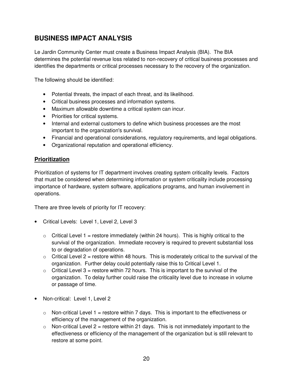# **BUSINESS IMPACT ANALYSIS**

Le Jardin Community Center must create a Business Impact Analysis (BIA). The BIA determines the potential revenue loss related to non-recovery of critical business processes and identifies the departments or critical processes necessary to the recovery of the organization.

The following should be identified:

- Potential threats, the impact of each threat, and its likelihood.
- Critical business processes and information systems.
- Maximum allowable downtime a critical system can incur.
- Priorities for critical systems.
- Internal and external customers to define which business processes are the most important to the organization's survival.
- Financial and operational considerations, regulatory requirements, and legal obligations.
- Organizational reputation and operational efficiency.

## **Prioritization**

Prioritization of systems for IT department involves creating system criticality levels. Factors that must be considered when determining information or system criticality include processing importance of hardware, system software, applications programs, and human involvement in operations.

There are three levels of priority for IT recovery:

- Critical Levels: Level 1, Level 2, Level 3
	- $\circ$  Critical Level 1 = restore immediately (within 24 hours). This is highly critical to the survival of the organization. Immediate recovery is required to prevent substantial loss to or degradation of operations.
	- $\circ$  Critical Level 2 = restore within 48 hours. This is moderately critical to the survival of the organization. Further delay could potentially raise this to Critical Level 1.
	- $\circ$  Critical Level 3 = restore within 72 hours. This is important to the survival of the organization. To delay further could raise the criticality level due to increase in volume or passage of time.
- Non-critical: Level 1, Level 2
	- $\circ$  Non-critical Level 1 = restore within 7 days. This is important to the effectiveness or efficiency of the management of the organization.
	- $\circ$  Non-critical Level 2 = restore within 21 days. This is not immediately important to the effectiveness or efficiency of the management of the organization but is still relevant to restore at some point.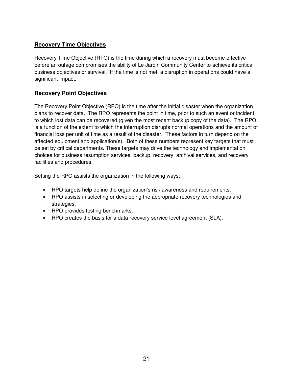## **Recovery Time Objectives**

Recovery Time Objective (RTO) is the time during which a recovery must become effective before an outage compromises the ability of Le Jardin Community Center to achieve its critical business objectives or survival. If the time is not met, a disruption in operations could have a significant impact.

## **Recovery Point Objectives**

The Recovery Point Objective (RPO) is the time after the initial disaster when the organization plans to recover data. The RPO represents the point in time, prior to such an event or incident, to which lost data can be recovered (given the most recent backup copy of the data). The RPO is a function of the extent to which the interruption disrupts normal operations and the amount of financial loss per unit of time as a result of the disaster. These factors in turn depend on the affected equipment and application(s). Both of these numbers represent key targets that must be set by critical departments. These targets may drive the technology and implementation choices for business resumption services, backup, recovery, archival services, and recovery facilities and procedures.

Setting the RPO assists the organization in the following ways:

- RPO targets help define the organization's risk awareness and requirements.
- RPO assists in selecting or developing the appropriate recovery technologies and strategies.
- RPO provides testing benchmarks.
- RPO creates the basis for a data recovery service level agreement (SLA).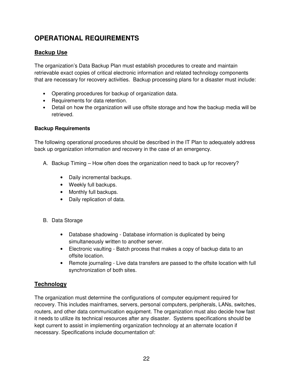# **OPERATIONAL REQUIREMENTS**

## **Backup Use**

The organization's Data Backup Plan must establish procedures to create and maintain retrievable exact copies of critical electronic information and related technology components that are necessary for recovery activities. Backup processing plans for a disaster must include:

- Operating procedures for backup of organization data.
- Requirements for data retention.
- Detail on how the organization will use offsite storage and how the backup media will be retrieved.

### **Backup Requirements**

The following operational procedures should be described in the IT Plan to adequately address back up organization information and recovery in the case of an emergency.

- A. Backup Timing How often does the organization need to back up for recovery?
	- Daily incremental backups.
	- Weekly full backups.
	- Monthly full backups.
	- Daily replication of data.
- B. Data Storage
	- Database shadowing Database information is duplicated by being simultaneously written to another server.
	- Electronic vaulting Batch process that makes a copy of backup data to an offsite location.
	- Remote journaling Live data transfers are passed to the offsite location with full synchronization of both sites.

## **Technology**

The organization must determine the configurations of computer equipment required for recovery. This includes mainframes, servers, personal computers, peripherals, LANs, switches, routers, and other data communication equipment. The organization must also decide how fast it needs to utilize its technical resources after any disaster. Systems specifications should be kept current to assist in implementing organization technology at an alternate location if necessary. Specifications include documentation of: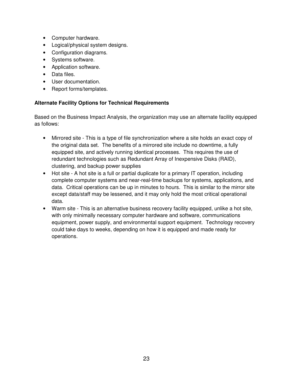- Computer hardware.
- Logical/physical system designs.
- Configuration diagrams.
- Systems software.
- Application software.
- Data files.
- User documentation.
- Report forms/templates.

### **Alternate Facility Options for Technical Requirements**

Based on the Business Impact Analysis, the organization may use an alternate facility equipped as follows:

- Mirrored site This is a type of file synchronization where a site holds an exact copy of the original data set. The benefits of a mirrored site include no downtime, a fully equipped site, and actively running identical processes. This requires the use of redundant technologies such as Redundant Array of Inexpensive Disks (RAID), clustering, and backup power supplies
- Hot site A hot site is a full or partial duplicate for a primary IT operation, including complete computer systems and near-real-time backups for systems, applications, and data. Critical operations can be up in minutes to hours. This is similar to the mirror site except data/staff may be lessened, and it may only hold the most critical operational data.
- Warm site This is an alternative business recovery facility equipped, unlike a hot site, with only minimally necessary computer hardware and software, communications equipment, power supply, and environmental support equipment. Technology recovery could take days to weeks, depending on how it is equipped and made ready for operations.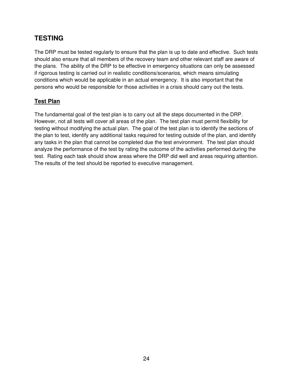# **TESTING**

The DRP must be tested regularly to ensure that the plan is up to date and effective. Such tests should also ensure that all members of the recovery team and other relevant staff are aware of the plans. The ability of the DRP to be effective in emergency situations can only be assessed if rigorous testing is carried out in realistic conditions/scenarios, which means simulating conditions which would be applicable in an actual emergency. It is also important that the persons who would be responsible for those activities in a crisis should carry out the tests.

## **Test Plan**

The fundamental goal of the test plan is to carry out all the steps documented in the DRP. However, not all tests will cover all areas of the plan. The test plan must permit flexibility for testing without modifying the actual plan. The goal of the test plan is to identify the sections of the plan to test, identify any additional tasks required for testing outside of the plan, and identify any tasks in the plan that cannot be completed due the test environment. The test plan should analyze the performance of the test by rating the outcome of the activities performed during the test. Rating each task should show areas where the DRP did well and areas requiring attention. The results of the test should be reported to executive management.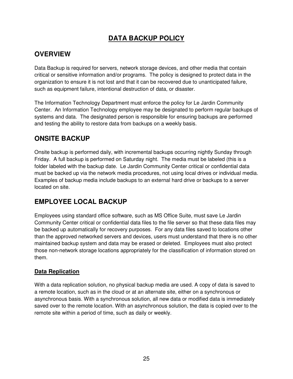# **DATA BACKUP POLICY**

# **OVERVIEW**

Data Backup is required for servers, network storage devices, and other media that contain critical or sensitive information and/or programs. The policy is designed to protect data in the organization to ensure it is not lost and that it can be recovered due to unanticipated failure, such as equipment failure, intentional destruction of data, or disaster.

The Information Technology Department must enforce the policy for Le Jardin Community Center. An Information Technology employee may be designated to perform regular backups of systems and data. The designated person is responsible for ensuring backups are performed and testing the ability to restore data from backups on a weekly basis.

## **ONSITE BACKUP**

Onsite backup is performed daily, with incremental backups occurring nightly Sunday through Friday. A full backup is performed on Saturday night. The media must be labeled (this is a folder labeled with the backup date. Le Jardin Community Center critical or confidential data must be backed up via the network media procedures, not using local drives or individual media. Examples of backup media include backups to an external hard drive or backups to a server located on site.

# **EMPLOYEE LOCAL BACKUP**

Employees using standard office software, such as MS Office Suite, must save Le Jardin Community Center critical or confidential data files to the file server so that these data files may be backed up automatically for recovery purposes. For any data files saved to locations other than the approved networked servers and devices, users must understand that there is no other maintained backup system and data may be erased or deleted. Employees must also protect those non-network storage locations appropriately for the classification of information stored on them.

## **Data Replication**

With a data replication solution, no physical backup media are used. A copy of data is saved to a remote location, such as in the cloud or at an alternate site, either on a synchronous or asynchronous basis. With a synchronous solution, all new data or modified data is immediately saved over to the remote location. With an asynchronous solution, the data is copied over to the remote site within a period of time, such as daily or weekly.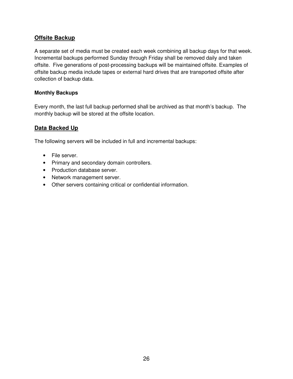## **Offsite Backup**

A separate set of media must be created each week combining all backup days for that week. Incremental backups performed Sunday through Friday shall be removed daily and taken offsite. Five generations of post-processing backups will be maintained offsite. Examples of offsite backup media include tapes or external hard drives that are transported offsite after collection of backup data.

#### **Monthly Backups**

Every month, the last full backup performed shall be archived as that month's backup. The monthly backup will be stored at the offsite location.

## **Data Backed Up**

The following servers will be included in full and incremental backups:

- File server.
- Primary and secondary domain controllers.
- Production database server.
- Network management server.
- Other servers containing critical or confidential information.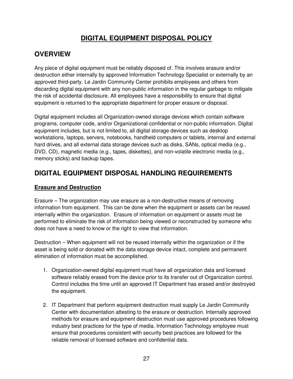# **DIGITAL EQUIPMENT DISPOSAL POLICY**

## **OVERVIEW**

Any piece of digital equipment must be reliably disposed of. This involves erasure and/or destruction either internally by approved Information Technology Specialist or externally by an approved third-party. Le Jardin Community Center prohibits employees and others from discarding digital equipment with any non-public information in the regular garbage to mitigate the risk of accidental disclosure. All employees have a responsibility to ensure that digital equipment is returned to the appropriate department for proper erasure or disposal.

Digital equipment includes all Organization-owned storage devices which contain software programs, computer code, and/or Organizational confidential or non-public information. Digital equipment includes, but is not limited to, all digital storage devices such as desktop workstations, laptops, servers, notebooks, handheld computers or tablets, internal and external hard drives, and all external data storage devices such as disks, SANs, optical media (e.g., DVD, CD), magnetic media (e.g., tapes, diskettes), and non-volatile electronic media (e.g., memory sticks) and backup tapes.

# **DIGITAL EQUIPMENT DISPOSAL HANDLING REQUIREMENTS**

## **Erasure and Destruction**

Erasure – The organization may use erasure as a non-destructive means of removing information from equipment. This can be done when the equipment or assets can be reused internally within the organization. Erasure of information on equipment or assets must be performed to eliminate the risk of information being viewed or reconstructed by someone who does not have a need to know or the right to view that information.

Destruction – When equipment will not be reused internally within the organization or if the asset is being sold or donated with the data storage device intact, complete and permanent elimination of information must be accomplished.

- 1. Organization-owned digital equipment must have all organization data and licensed software reliably erased from the device prior to its transfer out of Organization control. Control includes the time until an approved IT Department has erased and/or destroyed the equipment.
- 2. IT Department that perform equipment destruction must supply Le Jardin Community Center with documentation attesting to the erasure or destruction. Internally approved methods for erasure and equipment destruction must use approved procedures following industry best practices for the type of media. Information Technology employee must ensure that procedures consistent with security best practices are followed for the reliable removal of licensed software and confidential data.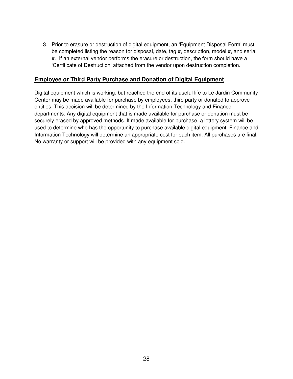3. Prior to erasure or destruction of digital equipment, an 'Equipment Disposal Form' must be completed listing the reason for disposal, date, tag #, description, model #, and serial #. If an external vendor performs the erasure or destruction, the form should have a 'Certificate of Destruction' attached from the vendor upon destruction completion.

#### **Employee or Third Party Purchase and Donation of Digital Equipment**

Digital equipment which is working, but reached the end of its useful life to Le Jardin Community Center may be made available for purchase by employees, third party or donated to approve entities. This decision will be determined by the Information Technology and Finance departments. Any digital equipment that is made available for purchase or donation must be securely erased by approved methods. If made available for purchase, a lottery system will be used to determine who has the opportunity to purchase available digital equipment. Finance and Information Technology will determine an appropriate cost for each item. All purchases are final. No warranty or support will be provided with any equipment sold.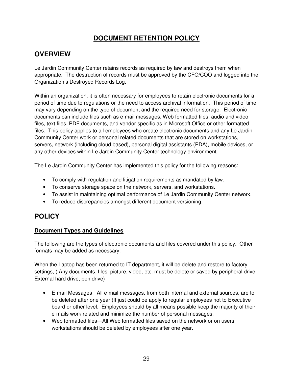# **DOCUMENT RETENTION POLICY**

## **OVERVIEW**

Le Jardin Community Center retains records as required by law and destroys them when appropriate. The destruction of records must be approved by the CFO/COO and logged into the Organization's Destroyed Records Log.

Within an organization, it is often necessary for employees to retain electronic documents for a period of time due to regulations or the need to access archival information. This period of time may vary depending on the type of document and the required need for storage. Electronic documents can include files such as e-mail messages, Web formatted files, audio and video files, text files, PDF documents, and vendor specific as in Microsoft Office or other formatted files. This policy applies to all employees who create electronic documents and any Le Jardin Community Center work or personal related documents that are stored on workstations, servers, network (including cloud based), personal digital assistants (PDA), mobile devices, or any other devices within Le Jardin Community Center technology environment.

The Le Jardin Community Center has implemented this policy for the following reasons:

- To comply with regulation and litigation requirements as mandated by law.
- To conserve storage space on the network, servers, and workstations.
- To assist in maintaining optimal performance of Le Jardin Community Center network.
- To reduce discrepancies amongst different document versioning.

## **POLICY**

## **Document Types and Guidelines**

The following are the types of electronic documents and files covered under this policy. Other formats may be added as necessary.

When the Laptop has been returned to IT department, it will be delete and restore to factory settings, ( Any documents, files, picture, video, etc. must be delete or saved by peripheral drive, External hard drive, pen drive)

- E-mail Messages All e-mail messages, from both internal and external sources, are to be deleted after one year (It just could be apply to regular employees not to Executive board or other level. Employees should by all means possible keep the majority of their e-mails work related and minimize the number of personal messages.
- Web formatted files—All Web formatted files saved on the network or on users' workstations should be deleted by employees after one year.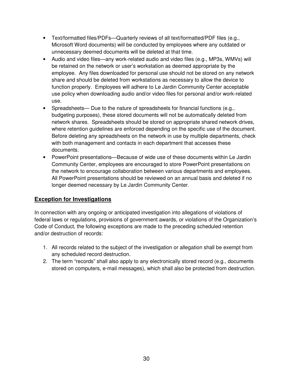- Text/formatted files/PDFs—Quarterly reviews of all text/formatted/PDF files (e.g., Microsoft Word documents) will be conducted by employees where any outdated or unnecessary deemed documents will be deleted at that time.
- Audio and video files—any work-related audio and video files (e.g., MP3s, WMVs) will be retained on the network or user's workstation as deemed appropriate by the employee. Any files downloaded for personal use should not be stored on any network share and should be deleted from workstations as necessary to allow the device to function properly. Employees will adhere to Le Jardin Community Center acceptable use policy when downloading audio and/or video files for personal and/or work-related use.
- Spreadsheets— Due to the nature of spreadsheets for financial functions (e.g., budgeting purposes), these stored documents will not be automatically deleted from network shares. Spreadsheets should be stored on appropriate shared network drives, where retention guidelines are enforced depending on the specific use of the document. Before deleting any spreadsheets on the network in use by multiple departments, check with both management and contacts in each department that accesses these documents.
- PowerPoint presentations—Because of wide use of these documents within Le Jardin Community Center, employees are encouraged to store PowerPoint presentations on the network to encourage collaboration between various departments and employees. All PowerPoint presentations should be reviewed on an annual basis and deleted if no longer deemed necessary by Le Jardin Community Center.

## **Exception for Investigations**

In connection with any ongoing or anticipated investigation into allegations of violations of federal laws or regulations, provisions of government awards, or violations of the Organization's Code of Conduct, the following exceptions are made to the preceding scheduled retention and/or destruction of records:

- 1. All records related to the subject of the investigation or allegation shall be exempt from any scheduled record destruction.
- 2. The term "records" shall also apply to any electronically stored record (e.g., documents stored on computers, e-mail messages), which shall also be protected from destruction.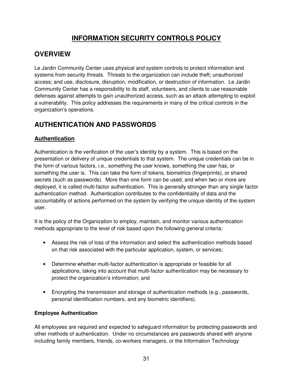# **INFORMATION SECURITY CONTROLS POLICY**

## **OVERVIEW**

Le Jardin Community Center uses physical and system controls to protect information and systems from security threats. Threats to the organization can include theft; unauthorized access; and use, disclosure, disruption, modification, or destruction of information. Le Jardin Community Center has a responsibility to its staff, volunteers, and clients to use reasonable defenses against attempts to gain unauthorized access, such as an attack attempting to exploit a vulnerability. This policy addresses the requirements in many of the critical controls in the organization's operations.

# **AUTHENTICATION AND PASSWORDS**

## **Authentication**

Authentication is the verification of the user's identity by a system. This is based on the presentation or delivery of unique credentials to that system. The unique credentials can be in the form of various factors, i.e., something the user knows, something the user has, or something the user is. This can take the form of tokens, biometrics (fingerprints), or shared secrets (such as passwords). More than one form can be used, and when two or more are deployed, it is called multi-factor authentication. This is generally stronger than any single factor authentication method. Authentication contributes to the confidentiality of data and the accountability of actions performed on the system by verifying the unique identity of the system user.

It is the policy of the Organization to employ, maintain, and monitor various authentication methods appropriate to the level of risk based upon the following general criteria:

- Assess the risk of loss of the information and select the authentication methods based on that risk associated with the particular application, system, or services;
- Determine whether multi-factor authentication is appropriate or feasible for all applications, taking into account that multi-factor authentication may be necessary to protect the organization's information; and
- Encrypting the transmission and storage of authentication methods (e.g., passwords, personal identification numbers, and any biometric identifiers).

## **Employee Authentication**

All employees are required and expected to safeguard information by protecting passwords and other methods of authentication. Under no circumstances are passwords shared with anyone including family members, friends, co-workers managers, or the Information Technology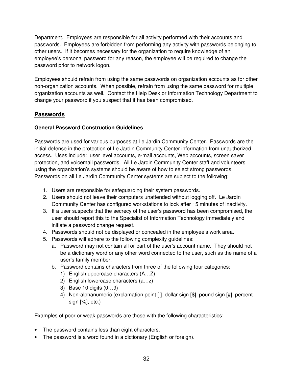Department. Employees are responsible for all activity performed with their accounts and passwords. Employees are forbidden from performing any activity with passwords belonging to other users. If it becomes necessary for the organization to require knowledge of an employee's personal password for any reason, the employee will be required to change the password prior to network logon.

Employees should refrain from using the same passwords on organization accounts as for other non-organization accounts. When possible, refrain from using the same password for multiple organization accounts as well. Contact the Help Desk or Information Technology Department to change your password if you suspect that it has been compromised.

## **Passwords**

## **General Password Construction Guidelines**

Passwords are used for various purposes at Le Jardin Community Center. Passwords are the initial defense in the protection of Le Jardin Community Center information from unauthorized access. Uses include: user level accounts, e-mail accounts, Web accounts, screen saver protection, and voicemail passwords. All Le Jardin Community Center staff and volunteers using the organization's systems should be aware of how to select strong passwords. Passwords on all Le Jardin Community Center systems are subject to the following:

- 1. Users are responsible for safeguarding their system passwords.
- 2. Users should not leave their computers unattended without logging off. Le Jardin Community Center has configured workstations to lock after 15 minutes of inactivity.
- 3. If a user suspects that the secrecy of the user's password has been compromised, the user should report this to the Specialist of Information Technology immediately and initiate a password change request.
- 4. Passwords should not be displayed or concealed in the employee's work area.
- 5. Passwords will adhere to the following complexity guidelines:
	- a. Password may not contain all or part of the user's account name. They should not be a dictionary word or any other word connected to the user, such as the name of a user's family member.
	- b. Password contains characters from three of the following four categories:
		- 1) English uppercase characters (A…Z)
		- 2) English lowercase characters (a…z)
		- 3) Base 10 digits (0…9)
		- 4) Non-alphanumeric (exclamation point [!], dollar sign [\$], pound sign [#], percent sign [%], etc.)

Examples of poor or weak passwords are those with the following characteristics:

- The password contains less than eight characters.
- The password is a word found in a dictionary (English or foreign).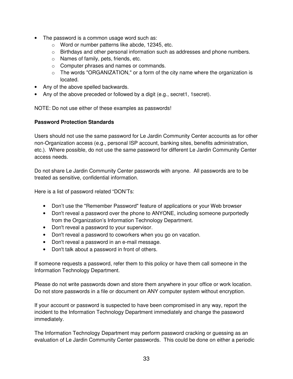- The password is a common usage word such as:
	- o Word or number patterns like abcde, 12345, etc.
	- $\circ$  Birthdays and other personal information such as addresses and phone numbers.
	- o Names of family, pets, friends, etc.
	- o Computer phrases and names or commands.
	- $\circ$  The words "ORGANIZATION," or a form of the city name where the organization is located.
- Any of the above spelled backwards.
- Any of the above preceded or followed by a digit (e.g., secret1, 1 secret).

NOTE: Do not use either of these examples as passwords!

#### **Password Protection Standards**

Users should not use the same password for Le Jardin Community Center accounts as for other non-Organization access (e.g., personal ISP account, banking sites, benefits administration, etc.). Where possible, do not use the same password for different Le Jardin Community Center access needs.

Do not share Le Jardin Community Center passwords with anyone. All passwords are to be treated as sensitive, confidential information.

Here is a list of password related "DON'Ts:

- Don't use the "Remember Password" feature of applications or your Web browser
- Don't reveal a password over the phone to ANYONE, including someone purportedly from the Organization's Information Technology Department.
- Don't reveal a password to your supervisor.
- Don't reveal a password to coworkers when you go on vacation.
- Don't reveal a password in an e-mail message.
- Don't talk about a password in front of others.

If someone requests a password, refer them to this policy or have them call someone in the Information Technology Department.

Please do not write passwords down and store them anywhere in your office or work location. Do not store passwords in a file or document on ANY computer system without encryption.

If your account or password is suspected to have been compromised in any way, report the incident to the Information Technology Department immediately and change the password immediately.

The Information Technology Department may perform password cracking or guessing as an evaluation of Le Jardin Community Center passwords. This could be done on either a periodic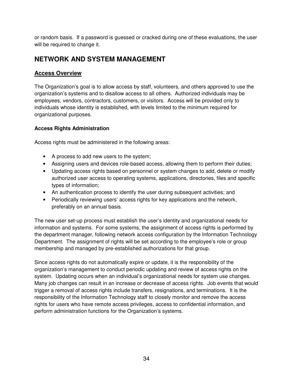or random basis. If a password is guessed or cracked during one of these evaluations, the user will be required to change it.

## **NETWORK AND SYSTEM MANAGEMENT**

### **Access Overview**

The Organization's goal is to allow access by staff, volunteers, and others approved to use the organization's systems and to disallow access to all others. Authorized individuals may be employees, vendors, contractors, customers, or visitors. Access will be provided only to individuals whose identity is established, with levels limited to the minimum required for organizational purposes.

### **Access Rights Administration**

Access rights must be administered in the following areas:

- A process to add new users to the system;
- Assigning users and devices role-based access, allowing them to perform their duties;
- Updating access rights based on personnel or system changes to add, delete or modify authorized user access to operating systems, applications, directories, files and specific types of information;
- An authentication process to identify the user during subsequent activities; and
- Periodically reviewing users' access rights for key applications and the network, preferably on an annual basis.

The new user set-up process must establish the user's identity and organizational needs for information and systems. For some systems, the assignment of access rights is performed by the department manager, following network access configuration by the Information Technology Department. The assignment of rights will be set according to the employee's role or group membership and managed by pre-established authorizations for that group.

Since access rights do not automatically expire or update, it is the responsibility of the organization's management to conduct periodic updating and review of access rights on the system. Updating occurs when an individual's organizational needs for system use changes. Many job changes can result in an increase or decrease of access rights. Job events that would trigger a removal of access rights include transfers, resignations, and terminations. It is the responsibility of the Information Technology staff to closely monitor and remove the access rights for users who have remote access privileges, access to confidential information, and perform administration functions for the Organization's systems.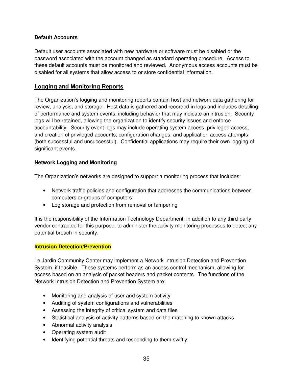#### **Default Accounts**

Default user accounts associated with new hardware or software must be disabled or the password associated with the account changed as standard operating procedure. Access to these default accounts must be monitored and reviewed. Anonymous access accounts must be disabled for all systems that allow access to or store confidential information.

## **Logging and Monitoring Reports**

The Organization's logging and monitoring reports contain host and network data gathering for review, analysis, and storage. Host data is gathered and recorded in logs and includes detailing of performance and system events, including behavior that may indicate an intrusion. Security logs will be retained, allowing the organization to identify security issues and enforce accountability. Security event logs may include operating system access, privileged access, and creation of privileged accounts, configuration changes, and application access attempts (both successful and unsuccessful). Confidential applications may require their own logging of significant events.

### **Network Logging and Monitoring**

The Organization's networks are designed to support a monitoring process that includes:

- Network traffic policies and configuration that addresses the communications between computers or groups of computers;
- Log storage and protection from removal or tampering

It is the responsibility of the Information Technology Department, in addition to any third-party vendor contracted for this purpose, to administer the activity monitoring processes to detect any potential breach in security.

#### **Intrusion Detection/Prevention**

Le Jardin Community Center may implement a Network Intrusion Detection and Prevention System, if feasible. These systems perform as an access control mechanism, allowing for access based on an analysis of packet headers and packet contents. The functions of the Network Intrusion Detection and Prevention System are:

- Monitoring and analysis of user and system activity
- Auditing of system configurations and vulnerabilities
- Assessing the integrity of critical system and data files
- Statistical analysis of activity patterns based on the matching to known attacks
- Abnormal activity analysis
- Operating system audit
- Identifying potential threats and responding to them swiftly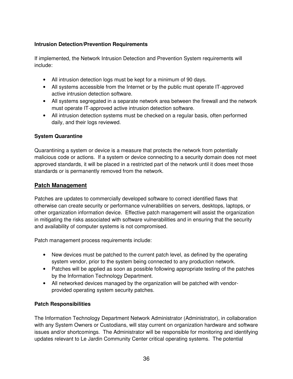### **Intrusion Detection/Prevention Requirements**

If implemented, the Network Intrusion Detection and Prevention System requirements will include:

- All intrusion detection logs must be kept for a minimum of 90 days.
- All systems accessible from the Internet or by the public must operate IT-approved active intrusion detection software.
- All systems segregated in a separate network area between the firewall and the network must operate IT-approved active intrusion detection software.
- All intrusion detection systems must be checked on a regular basis, often performed daily, and their logs reviewed.

#### **System Quarantine**

Quarantining a system or device is a measure that protects the network from potentially malicious code or actions. If a system or device connecting to a security domain does not meet approved standards, it will be placed in a restricted part of the network until it does meet those standards or is permanently removed from the network.

## **Patch Management**

Patches are updates to commercially developed software to correct identified flaws that otherwise can create security or performance vulnerabilities on servers, desktops, laptops, or other organization information device. Effective patch management will assist the organization in mitigating the risks associated with software vulnerabilities and in ensuring that the security and availability of computer systems is not compromised.

Patch management process requirements include:

- New devices must be patched to the current patch level, as defined by the operating system vendor, prior to the system being connected to any production network.
- Patches will be applied as soon as possible following appropriate testing of the patches by the Information Technology Department.
- All networked devices managed by the organization will be patched with vendorprovided operating system security patches.

#### **Patch Responsibilities**

The Information Technology Department Network Administrator (Administrator), in collaboration with any System Owners or Custodians, will stay current on organization hardware and software issues and/or shortcomings. The Administrator will be responsible for monitoring and identifying updates relevant to Le Jardin Community Center critical operating systems. The potential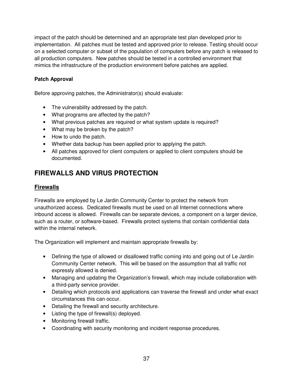impact of the patch should be determined and an appropriate test plan developed prior to implementation. All patches must be tested and approved prior to release. Testing should occur on a selected computer or subset of the population of computers before any patch is released to all production computers. New patches should be tested in a controlled environment that mimics the infrastructure of the production environment before patches are applied.

### **Patch Approval**

Before approving patches, the Administrator(s) should evaluate:

- The vulnerability addressed by the patch.
- What programs are affected by the patch?
- What previous patches are required or what system update is required?
- What may be broken by the patch?
- How to undo the patch.
- Whether data backup has been applied prior to applying the patch.
- All patches approved for client computers or applied to client computers should be documented.

# **FIREWALLS AND VIRUS PROTECTION**

### **Firewalls**

Firewalls are employed by Le Jardin Community Center to protect the network from unauthorized access. Dedicated firewalls must be used on all Internet connections where inbound access is allowed. Firewalls can be separate devices, a component on a larger device, such as a router, or software-based. Firewalls protect systems that contain confidential data within the internal network.

The Organization will implement and maintain appropriate firewalls by:

- Defining the type of allowed or disallowed traffic coming into and going out of Le Jardin Community Center network. This will be based on the assumption that all traffic not expressly allowed is denied.
- Managing and updating the Organization's firewall, which may include collaboration with a third-party service provider.
- Detailing which protocols and applications can traverse the firewall and under what exact circumstances this can occur.
- Detailing the firewall and security architecture.
- Listing the type of firewall(s) deployed.
- Monitoring firewall traffic.
- Coordinating with security monitoring and incident response procedures.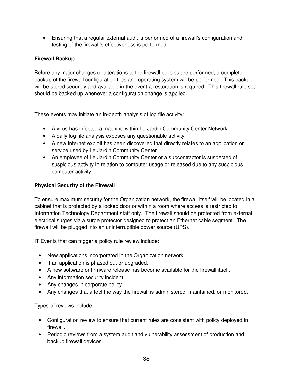• Ensuring that a regular external audit is performed of a firewall's configuration and testing of the firewall's effectiveness is performed.

#### **Firewall Backup**

Before any major changes or alterations to the firewall policies are performed, a complete backup of the firewall configuration files and operating system will be performed. This backup will be stored securely and available in the event a restoration is required. This firewall rule set should be backed up whenever a configuration change is applied.

These events may initiate an in-depth analysis of log file activity:

- A virus has infected a machine within Le Jardin Community Center Network.
- A daily log file analysis exposes any questionable activity.
- A new Internet exploit has been discovered that directly relates to an application or service used by Le Jardin Community Center
- An employee of Le Jardin Community Center or a subcontractor is suspected of suspicious activity in relation to computer usage or released due to any suspicious computer activity.

#### **Physical Security of the Firewall**

To ensure maximum security for the Organization network, the firewall itself will be located in a cabinet that is protected by a locked door or within a room where access is restricted to Information Technology Department staff only. The firewall should be protected from external electrical surges via a surge protector designed to protect an Ethernet cable segment. The firewall will be plugged into an uninterruptible power source (UPS).

IT Events that can trigger a policy rule review include:

- New applications incorporated in the Organization network.
- If an application is phased out or upgraded.
- A new software or firmware release has become available for the firewall itself.
- Any information security incident.
- Any changes in corporate policy.
- Any changes that affect the way the firewall is administered, maintained, or monitored.

Types of reviews include:

- Configuration review to ensure that current rules are consistent with policy deployed in firewall.
- Periodic reviews from a system audit and vulnerability assessment of production and backup firewall devices.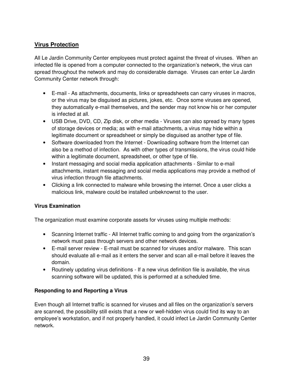## **Virus Protection**

All Le Jardin Community Center employees must protect against the threat of viruses. When an infected file is opened from a computer connected to the organization's network, the virus can spread throughout the network and may do considerable damage. Viruses can enter Le Jardin Community Center network through:

- E-mail As attachments, documents, links or spreadsheets can carry viruses in macros, or the virus may be disguised as pictures, jokes, etc. Once some viruses are opened, they automatically e-mail themselves, and the sender may not know his or her computer is infected at all.
- USB Drive, DVD, CD, Zip disk, or other media Viruses can also spread by many types of storage devices or media; as with e-mail attachments, a virus may hide within a legitimate document or spreadsheet or simply be disguised as another type of file.
- Software downloaded from the Internet Downloading software from the Internet can also be a method of infection. As with other types of transmissions, the virus could hide within a legitimate document, spreadsheet, or other type of file.
- Instant messaging and social media application attachments Similar to e-mail attachments, instant messaging and social media applications may provide a method of virus infection through file attachments.
- Clicking a link connected to malware while browsing the internet. Once a user clicks a malicious link, malware could be installed unbeknownst to the user.

#### **Virus Examination**

The organization must examine corporate assets for viruses using multiple methods:

- Scanning Internet traffic All Internet traffic coming to and going from the organization's network must pass through servers and other network devices.
- E-mail server review E-mail must be scanned for viruses and/or malware. This scan should evaluate all e-mail as it enters the server and scan all e-mail before it leaves the domain.
- Routinely updating virus definitions If a new virus definition file is available, the virus scanning software will be updated, this is performed at a scheduled time.

#### **Responding to and Reporting a Virus**

Even though all Internet traffic is scanned for viruses and all files on the organization's servers are scanned, the possibility still exists that a new or well-hidden virus could find its way to an employee's workstation, and if not properly handled, it could infect Le Jardin Community Center network.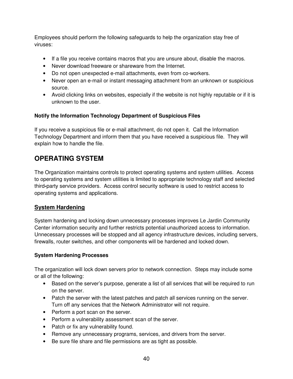Employees should perform the following safeguards to help the organization stay free of viruses:

- If a file you receive contains macros that you are unsure about, disable the macros.
- Never download freeware or shareware from the Internet.
- Do not open unexpected e-mail attachments, even from co-workers.
- Never open an e-mail or instant messaging attachment from an unknown or suspicious source.
- Avoid clicking links on websites, especially if the website is not highly reputable or if it is unknown to the user.

#### **Notify the Information Technology Department of Suspicious Files**

If you receive a suspicious file or e-mail attachment, do not open it. Call the Information Technology Department and inform them that you have received a suspicious file. They will explain how to handle the file.

## **OPERATING SYSTEM**

The Organization maintains controls to protect operating systems and system utilities. Access to operating systems and system utilities is limited to appropriate technology staff and selected third**-**party service providers. Access control security software is used to restrict access to operating systems and applications.

## **System Hardening**

System hardening and locking down unnecessary processes improves Le Jardin Community Center information security and further restricts potential unauthorized access to information. Unnecessary processes will be stopped and all agency infrastructure devices, including servers, firewalls, router switches, and other components will be hardened and locked down.

#### **System Hardening Processes**

The organization will lock down servers prior to network connection. Steps may include some or all of the following:

- Based on the server's purpose, generate a list of all services that will be required to run on the server.
- Patch the server with the latest patches and patch all services running on the server. Turn off any services that the Network Administrator will not require.
- Perform a port scan on the server.
- Perform a vulnerability assessment scan of the server.
- Patch or fix any vulnerability found.
- Remove any unnecessary programs, services, and drivers from the server.
- Be sure file share and file permissions are as tight as possible.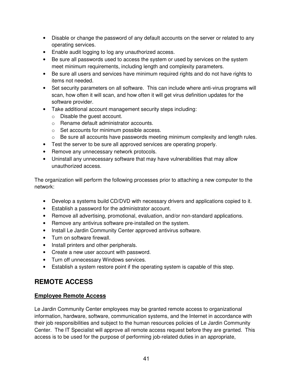- Disable or change the password of any default accounts on the server or related to any operating services.
- Enable audit logging to log any unauthorized access.
- Be sure all passwords used to access the system or used by services on the system meet minimum requirements, including length and complexity parameters.
- Be sure all users and services have minimum required rights and do not have rights to items not needed.
- Set security parameters on all software. This can include where anti-virus programs will scan, how often it will scan, and how often it will get virus definition updates for the software provider.
- Take additional account management security steps including:
	- o Disable the guest account.
	- o Rename default administrator accounts.
	- o Set accounts for minimum possible access.
	- $\circ$  Be sure all accounts have passwords meeting minimum complexity and length rules.
- Test the server to be sure all approved services are operating properly.
- Remove any unnecessary network protocols.
- Uninstall any unnecessary software that may have vulnerabilities that may allow unauthorized access.

The organization will perform the following processes prior to attaching a new computer to the network:

- Develop a systems build CD/DVD with necessary drivers and applications copied to it.
- Establish a password for the administrator account.
- Remove all advertising, promotional, evaluation, and/or non-standard applications.
- Remove any antivirus software pre-installed on the system.
- Install Le Jardin Community Center approved antivirus software.
- Turn on software firewall.
- Install printers and other peripherals.
- Create a new user account with password.
- Turn off unnecessary Windows services.
- Establish a system restore point if the operating system is capable of this step.

## **REMOTE ACCESS**

#### **Employee Remote Access**

Le Jardin Community Center employees may be granted remote access to organizational information, hardware, software, communication systems, and the Internet in accordance with their job responsibilities and subject to the human resources policies of Le Jardin Community Center. The IT Specialist will approve all remote access request before they are granted. This access is to be used for the purpose of performing job-related duties in an appropriate,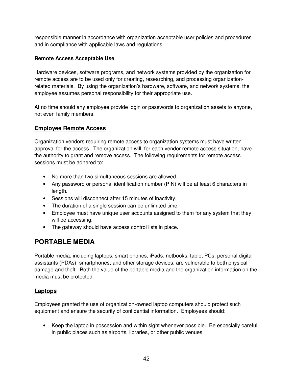responsible manner in accordance with organization acceptable user policies and procedures and in compliance with applicable laws and regulations.

#### **Remote Access Acceptable Use**

Hardware devices, software programs, and network systems provided by the organization for remote access are to be used only for creating, researching, and processing organizationrelated materials. By using the organization's hardware, software, and network systems, the employee assumes personal responsibility for their appropriate use.

At no time should any employee provide login or passwords to organization assets to anyone, not even family members.

## **Employee Remote Access**

Organization vendors requiring remote access to organization systems must have written approval for the access. The organization will, for each vendor remote access situation, have the authority to grant and remove access. The following requirements for remote access sessions must be adhered to:

- No more than two simultaneous sessions are allowed.
- Any password or personal identification number (PIN) will be at least 6 characters in length.
- Sessions will disconnect after 15 minutes of inactivity.
- The duration of a single session can be unlimited time.
- Employee must have unique user accounts assigned to them for any system that they will be accessing.
- The gateway should have access control lists in place.

## **PORTABLE MEDIA**

Portable media, including laptops, smart phones, iPads, netbooks, tablet PCs, personal digital assistants (PDAs), smartphones, and other storage devices, are vulnerable to both physical damage and theft. Both the value of the portable media and the organization information on the media must be protected.

## **Laptops**

Employees granted the use of organization-owned laptop computers should protect such equipment and ensure the security of confidential information. Employees should:

• Keep the laptop in possession and within sight whenever possible. Be especially careful in public places such as airports, libraries, or other public venues.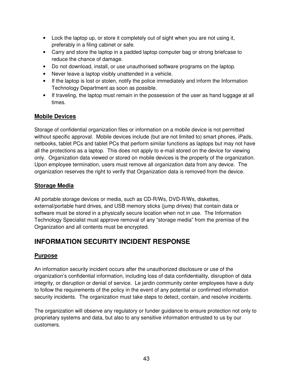- Lock the laptop up, or store it completely out of sight when you are not using it, preferably in a filing cabinet or safe.
- Carry and store the laptop in a padded laptop computer bag or strong briefcase to reduce the chance of damage.
- Do not download, install, or use unauthorised software programs on the laptop.
- Never leave a laptop visibly unattended in a vehicle.
- If the laptop is lost or stolen, notify the police immediately and inform the Information Technology Department as soon as possible.
- If traveling, the laptop must remain in the possession of the user as hand luggage at all times.

## **Mobile Devices**

Storage of confidential organization files or information on a mobile device is not permitted without specific approval. Mobile devices include (but are not limited to) smart phones, iPads, netbooks, tablet PCs and tablet PCs that perform similar functions as laptops but may not have all the protections as a laptop. This does not apply to e-mail stored on the device for viewing only. Organization data viewed or stored on mobile devices is the property of the organization. Upon employee termination, users must remove all organization data from any device. The organization reserves the right to verify that Organization data is removed from the device.

## **Storage Media**

All portable storage devices or media, such as CD-R/Ws, DVD-R/Ws, diskettes, external/portable hard drives, and USB memory sticks (jump drives) that contain data or software must be stored in a physically secure location when not in use. The Information Technology Specialist must approve removal of any "storage media" from the premise of the Organization and all contents must be encrypted.

## **INFORMATION SECURITY INCIDENT RESPONSE**

## **Purpose**

An information security incident occurs after the unauthorized disclosure or use of the organization's confidential information, including loss of data confidentiality, disruption of data integrity, or disruption or denial of service. Le jardin community center employees have a duty to follow the requirements of the policy in the event of any potential or confirmed information security incidents. The organization must take steps to detect, contain, and resolve incidents.

The organization will observe any regulatory or funder guidance to ensure protection not only to proprietary systems and data, but also to any sensitive information entrusted to us by our customers.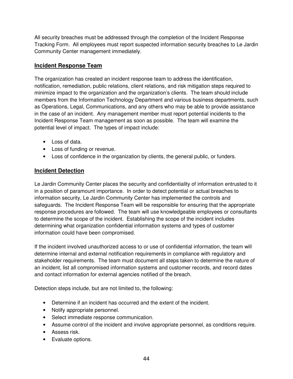All security breaches must be addressed through the completion of the Incident Response Tracking Form. All employees must report suspected information security breaches to Le Jardin Community Center management immediately.

### **Incident Response Team**

The organization has created an incident response team to address the identification, notification, remediation, public relations, client relations, and risk mitigation steps required to minimize impact to the organization and the organization's clients. The team should include members from the Information Technology Department and various business departments, such as Operations, Legal, Communications, and any others who may be able to provide assistance in the case of an incident. Any management member must report potential incidents to the Incident Response Team management as soon as possible. The team will examine the potential level of impact. The types of impact include:

- Loss of data.
- Loss of funding or revenue.
- Loss of confidence in the organization by clients, the general public, or funders.

## **Incident Detection**

Le Jardin Community Center places the security and confidentiality of information entrusted to it in a position of paramount importance. In order to detect potential or actual breaches to information security, Le Jardin Community Center has implemented the controls and safeguards. The Incident Response Team will be responsible for ensuring that the appropriate response procedures are followed. The team will use knowledgeable employees or consultants to determine the scope of the incident. Establishing the scope of the incident includes determining what organization confidential information systems and types of customer information could have been compromised.

If the incident involved unauthorized access to or use of confidential information, the team will determine internal and external notification requirements in compliance with regulatory and stakeholder requirements. The team must document all steps taken to determine the nature of an incident, list all compromised information systems and customer records, and record dates and contact information for external agencies notified of the breach.

Detection steps include, but are not limited to, the following:

- Determine if an incident has occurred and the extent of the incident.
- Notify appropriate personnel.
- Select immediate response communication.
- Assume control of the incident and involve appropriate personnel, as conditions require.
- Assess risk.
- Evaluate options.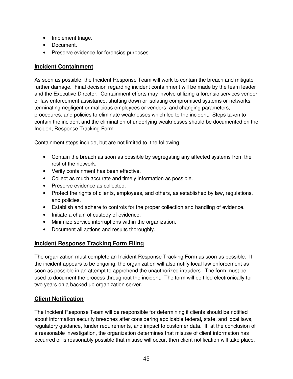- Implement triage.
- Document.
- Preserve evidence for forensics purposes.

#### **Incident Containment**

As soon as possible, the Incident Response Team will work to contain the breach and mitigate further damage. Final decision regarding incident containment will be made by the team leader and the Executive Director. Containment efforts may involve utilizing a forensic services vendor or law enforcement assistance, shutting down or isolating compromised systems or networks, terminating negligent or malicious employees or vendors, and changing parameters, procedures, and policies to eliminate weaknesses which led to the incident. Steps taken to contain the incident and the elimination of underlying weaknesses should be documented on the Incident Response Tracking Form.

Containment steps include, but are not limited to, the following:

- Contain the breach as soon as possible by segregating any affected systems from the rest of the network.
- Verify containment has been effective.
- Collect as much accurate and timely information as possible.
- Preserve evidence as collected.
- Protect the rights of clients, employees, and others, as established by law, regulations, and policies.
- Establish and adhere to controls for the proper collection and handling of evidence.
- Initiate a chain of custody of evidence.
- Minimize service interruptions within the organization.
- Document all actions and results thoroughly.

#### **Incident Response Tracking Form Filing**

The organization must complete an Incident Response Tracking Form as soon as possible. If the incident appears to be ongoing, the organization will also notify local law enforcement as soon as possible in an attempt to apprehend the unauthorized intruders. The form must be used to document the process throughout the incident. The form will be filed electronically for two years on a backed up organization server.

#### **Client Notification**

The Incident Response Team will be responsible for determining if clients should be notified about information security breaches after considering applicable federal, state, and local laws, regulatory guidance, funder requirements, and impact to customer data. If, at the conclusion of a reasonable investigation, the organization determines that misuse of client information has occurred or is reasonably possible that misuse will occur, then client notification will take place.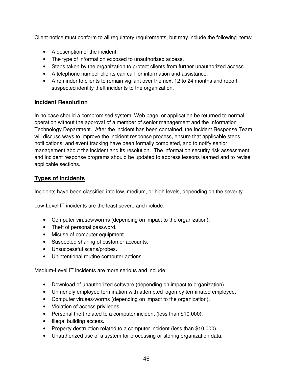Client notice must conform to all regulatory requirements, but may include the following items:

- A description of the incident.
- The type of information exposed to unauthorized access.
- Steps taken by the organization to protect clients from further unauthorized access.
- A telephone number clients can call for information and assistance.
- A reminder to clients to remain vigilant over the next 12 to 24 months and report suspected identity theft incidents to the organization.

## **Incident Resolution**

In no case should a compromised system, Web page, or application be returned to normal operation without the approval of a member of senior management and the Information Technology Department. After the incident has been contained, the Incident Response Team will discuss ways to improve the incident response process, ensure that applicable steps, notifications, and event tracking have been formally completed, and to notify senior management about the incident and its resolution. The information security risk assessment and incident response programs should be updated to address lessons learned and to revise applicable sections.

## **Types of Incidents**

Incidents have been classified into low, medium, or high levels, depending on the severity.

Low-Level IT incidents are the least severe and include:

- Computer viruses/worms (depending on impact to the organization).
- Theft of personal password.
- Misuse of computer equipment.
- Suspected sharing of customer accounts.
- Unsuccessful scans/probes.
- Unintentional routine computer actions.

Medium-Level IT incidents are more serious and include:

- Download of unauthorized software (depending on impact to organization).
- Unfriendly employee termination with attempted logon by terminated employee.
- Computer viruses/worms (depending on impact to the organization).
- Violation of access privileges.
- Personal theft related to a computer incident (less than \$10,000).
- Illegal building access.
- Property destruction related to a computer incident (less than \$10,000).
- Unauthorized use of a system for processing or storing organization data.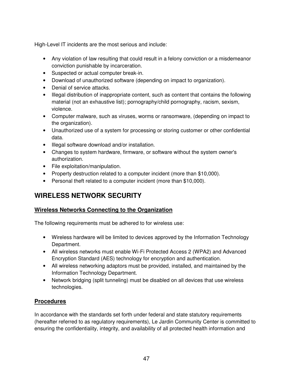High-Level IT incidents are the most serious and include:

- Any violation of law resulting that could result in a felony conviction or a misdemeanor conviction punishable by incarceration.
- Suspected or actual computer break-in.
- Download of unauthorized software (depending on impact to organization).
- Denial of service attacks.
- Illegal distribution of inappropriate content, such as content that contains the following material (not an exhaustive list); pornography/child pornography, racism, sexism, violence.
- Computer malware, such as viruses, worms or ransomware, (depending on impact to the organization).
- Unauthorized use of a system for processing or storing customer or other confidential data.
- Illegal software download and/or installation.
- Changes to system hardware, firmware, or software without the system owner's authorization.
- File exploitation/manipulation.
- Property destruction related to a computer incident (more than \$10,000).
- Personal theft related to a computer incident (more than \$10,000).

# **WIRELESS NETWORK SECURITY**

## **Wireless Networks Connecting to the Organization**

The following requirements must be adhered to for wireless use:

- Wireless hardware will be limited to devices approved by the Information Technology Department.
- All wireless networks must enable Wi-Fi Protected Access 2 (WPA2) and Advanced Encryption Standard (AES) technology for encryption and authentication.
- All wireless networking adaptors must be provided, installed, and maintained by the Information Technology Department.
- Network bridging (split tunneling) must be disabled on all devices that use wireless technologies.

## **Procedures**

In accordance with the standards set forth under federal and state statutory requirements (hereafter referred to as regulatory requirements), Le Jardin Community Center is committed to ensuring the confidentiality, integrity, and availability of all protected health information and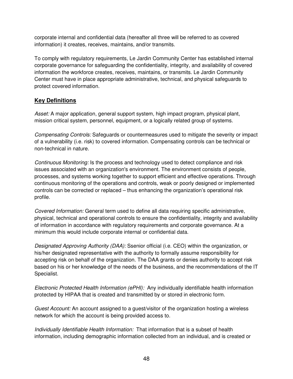corporate internal and confidential data (hereafter all three will be referred to as covered information) it creates, receives, maintains, and/or transmits.

To comply with regulatory requirements, Le Jardin Community Center has established internal corporate governance for safeguarding the confidentiality, integrity, and availability of covered information the workforce creates, receives, maintains, or transmits. Le Jardin Community Center must have in place appropriate administrative, technical, and physical safeguards to protect covered information.

#### **Key Definitions**

*Asset:* A major application, general support system, high impact program, physical plant, mission critical system, personnel, equipment, or a logically related group of systems.

*Compensating Controls:* Safeguards or countermeasures used to mitigate the severity or impact of a vulnerability (i.e. risk) to covered information. Compensating controls can be technical or non-technical in nature.

*Continuous Monitoring:* Is the process and technology used to detect compliance and risk issues associated with an organization's environment. The environment consists of people, processes, and systems working together to support efficient and effective operations. Through continuous monitoring of the operations and controls, weak or poorly designed or implemented controls can be corrected or replaced – thus enhancing the organization's operational risk profile.

*Covered Information:* General term used to define all data requiring specific administrative, physical, technical and operational controls to ensure the confidentiality, integrity and availability of information in accordance with regulatory requirements and corporate governance. At a minimum this would include corporate internal or confidential data.

*Designated Approving Authority (DAA):* Ssenior official (i.e. CEO) within the organization, or his/her designated representative with the authority to formally assume responsibility for accepting risk on behalf of the organization. The DAA grants or denies authority to accept risk based on his or her knowledge of the needs of the business, and the recommendations of the IT Specialist.

*Electronic Protected Health Information (ePHI):* Any individually identifiable health information protected by HIPAA that is created and transmitted by or stored in electronic form.

*Guest Account:* An account assigned to a guest/visitor of the organization hosting a wireless network for which the account is being provided access to.

*Individually Identifiable Health Information:* That information that is a subset of health information, including demographic information collected from an individual, and is created or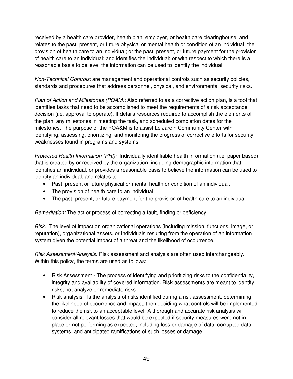received by a health care provider, health plan, employer, or health care clearinghouse; and relates to the past, present, or future physical or mental health or condition of an individual; the provision of health care to an individual; or the past, present, or future payment for the provision of health care to an individual; and identifies the individual; or with respect to which there is a reasonable basis to believe the information can be used to identify the individual.

*Non-Technical Controls:* are management and operational controls such as security policies, standards and procedures that address personnel, physical, and environmental security risks.

*Plan of Action and Milestones (POAM):* Also referred to as a corrective action plan, is a tool that identifies tasks that need to be accomplished to meet the requirements of a risk acceptance decision (i.e. approval to operate). It details resources required to accomplish the elements of the plan, any milestones in meeting the task, and scheduled completion dates for the milestones. The purpose of the POA&M is to assist Le Jardin Community Center with identifying, assessing, prioritizing, and monitoring the progress of corrective efforts for security weaknesses found in programs and systems.

*Protected Health Information (PHI):* Individually identifiable health information (i.e. paper based) that is created by or received by the organization, including demographic information that identifies an individual, or provides a reasonable basis to believe the information can be used to identify an individual, and relates to:

- Past, present or future physical or mental health or condition of an individual.
- The provision of health care to an individual.
- The past, present, or future payment for the provision of health care to an individual*.*

*Remediation:* The act or process of correcting a fault, finding or deficiency.

*Risk:* The level of impact on organizational operations (including mission, functions, image, or reputation), organizational assets, or individuals resulting from the operation of an information system given the potential impact of a threat and the likelihood of occurrence.

*Risk Assessment/Analysis:* Risk assessment and analysis are often used interchangeably. Within this policy, the terms are used as follows:

- Risk Assessment The process of identifying and prioritizing risks to the confidentiality, integrity and availability of covered information. Risk assessments are meant to identify risks, not analyze or remediate risks.
- Risk analysis Is the analysis of risks identified during a risk assessment, determining the likelihood of occurrence and impact, then deciding what controls will be implemented to reduce the risk to an acceptable level. A thorough and accurate risk analysis will consider all relevant losses that would be expected if security measures were not in place or not performing as expected, including loss or damage of data, corrupted data systems, and anticipated ramifications of such losses or damage.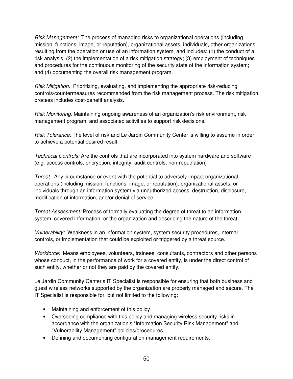*Risk Management:* The process of managing risks to organizational operations (including mission, functions, image, or reputation), organizational assets, individuals, other organizations, resulting from the operation or use of an information system, and includes: (1) the conduct of a risk analysis; (2) the implementation of a risk mitigation strategy; (3) employment of techniques and procedures for the continuous monitoring of the security state of the information system; and (4) documenting the overall risk management program.

*Risk Mitigation:* Prioritizing, evaluating, and implementing the appropriate risk-reducing controls/countermeasures recommended from the risk management process. The risk mitigation process includes cost-benefit analysis.

*Risk Monitoring:* Maintaining ongoing awareness of an organization's risk environment, risk management program, and associated activities to support risk decisions.

*Risk Tolerance:* The level of risk and Le Jardin Community Center is willing to assume in order to achieve a potential desired result.

*Technical Controls:* Are the controls that are incorporated into system hardware and software (e.g. access controls, encryption, integrity, audit controls, non-repudiation)

*Threat:* Any circumstance or event with the potential to adversely impact organizational operations (including mission, functions, image, or reputation), organizational assets, or individuals through an information system via unauthorized access, destruction, disclosure, modification of information, and/or denial of service.

*Threat Assessment:* Process of formally evaluating the degree of threat to an information system, covered information, or the organization and describing the nature of the threat.

*Vulnerability:* Weakness in an information system, system security procedures, internal controls, or implementation that could be exploited or triggered by a threat source.

*Workforce:* Means employees, volunteers, trainees, consultants, contractors and other persons whose conduct, in the performance of work for a covered entity, is under the direct control of such entity, whether or not they are paid by the covered entity.

Le Jardin Community Center's IT Specialist is responsible for ensuring that both business and guest wireless networks supported by the organization are properly managed and secure. The IT Specialist is responsible for, but not limited to the following:

- Maintaining and enforcement of this policy
- Overseeing compliance with this policy and managing wireless security risks in accordance with the organization's "Information Security Risk Management" and "Vulnerability Management" policies/procedures.
- Defining and documenting configuration management requirements.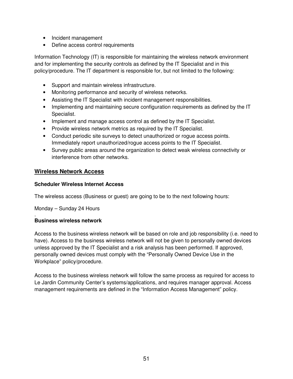- Incident management
- Define access control requirements

Information Technology (IT) is responsible for maintaining the wireless network environment and for implementing the security controls as defined by the IT Specialist and in this policy/procedure. The IT department is responsible for, but not limited to the following:

- Support and maintain wireless infrastructure.
- Monitoring performance and security of wireless networks.
- Assisting the IT Specialist with incident management responsibilities.
- Implementing and maintaining secure configuration requirements as defined by the IT Specialist.
- Implement and manage access control as defined by the IT Specialist.
- Provide wireless network metrics as required by the IT Specialist.
- Conduct periodic site surveys to detect unauthorized or rogue access points. Immediately report unauthorized/rogue access points to the IT Specialist.
- Survey public areas around the organization to detect weak wireless connectivity or interference from other networks.

#### **Wireless Network Access**

#### **Scheduler Wireless Internet Access**

The wireless access (Business or guest) are going to be to the next following hours:

Monday – Sunday 24 Hours

#### . **Business wireless network**

Access to the business wireless network will be based on role and job responsibility (i.e. need to have). Access to the business wireless network will not be given to personally owned devices unless approved by the IT Specialist and a risk analysis has been performed. If approved, personally owned devices must comply with the "Personally Owned Device Use in the Workplace" policy/procedure.

Access to the business wireless network will follow the same process as required for access to Le Jardin Community Center's systems/applications, and requires manager approval. Access management requirements are defined in the "Information Access Management" policy.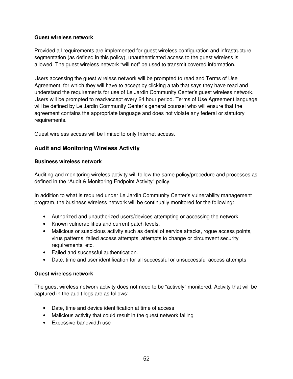#### **Guest wireless network**

Provided all requirements are implemented for guest wireless configuration and infrastructure segmentation (as defined in this policy), unauthenticated access to the guest wireless is allowed. The guest wireless network "will not" be used to transmit covered information.

Users accessing the guest wireless network will be prompted to read and Terms of Use Agreement, for which they will have to accept by clicking a tab that says they have read and understand the requirements for use of Le Jardin Community Center's guest wireless network. Users will be prompted to read/accept every 24 hour period. Terms of Use Agreement language will be defined by Le Jardin Community Center's general counsel who will ensure that the agreement contains the appropriate language and does not violate any federal or statutory requirements.

Guest wireless access will be limited to only Internet access.

#### **Audit and Monitoring Wireless Activity**

#### **Business wireless network**

Auditing and monitoring wireless activity will follow the same policy/procedure and processes as defined in the "Audit & Monitoring Endpoint Activity" policy.

In addition to what is required under Le Jardin Community Center's vulnerability management program, the business wireless network will be continually monitored for the following:

- Authorized and unauthorized users/devices attempting or accessing the network
- Known vulnerabilities and current patch levels.
- Malicious or suspicious activity such as denial of service attacks, rogue access points, virus patterns, failed access attempts, attempts to change or circumvent security requirements, etc.
- Failed and successful authentication.
- Date, time and user identification for all successful or unsuccessful access attempts

#### **Guest wireless network**

The guest wireless network activity does not need to be "actively" monitored. Activity that will be captured in the audit logs are as follows:

- Date, time and device identification at time of access
- Malicious activity that could result in the guest network failing
- Excessive bandwidth use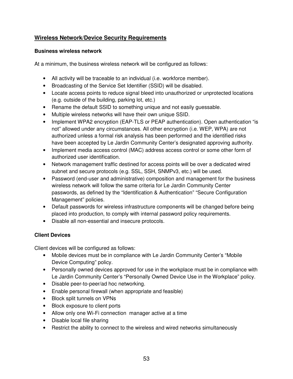## **Wireless Network/Device Security Requirements**

#### **Business wireless network**

At a minimum, the business wireless network will be configured as follows:

- All activity will be traceable to an individual (i.e. workforce member).
- Broadcasting of the Service Set Identifier (SSID) will be disabled.
- Locate access points to reduce signal bleed into unauthorized or unprotected locations (e.g. outside of the building, parking lot, etc.)
- Rename the default SSID to something unique and not easily guessable.
- Multiple wireless networks will have their own unique SSID.
- Implement WPA2 encryption (EAP-TLS or PEAP authentication). Open authentication "is not" allowed under any circumstances. All other encryption (i.e. WEP, WPA) are not authorized unless a formal risk analysis has been performed and the identified risks have been accepted by Le Jardin Community Center's designated approving authority.
- Implement media access control (MAC) address access control or some other form of authorized user identification.
- Network management traffic destined for access points will be over a dedicated wired subnet and secure protocols (e.g. SSL, SSH, SNMPv3, etc.) will be used.
- Password (end-user and administrative) composition and management for the business wireless network will follow the same criteria for Le Jardin Community Center passwords, as defined by the "Identification & Authentication" "Secure Configuration Management" policies.
- Default passwords for wireless infrastructure components will be changed before being placed into production, to comply with internal password policy requirements.
- Disable all non-essential and insecure protocols.

#### **Client Devices**

Client devices will be configured as follows:

- Mobile devices must be in compliance with Le Jardin Community Center's "Mobile Device Computing" policy.
- Personally owned devices approved for use in the workplace must be in compliance with Le Jardin Community Center's "Personally Owned Device Use in the Workplace" policy.
- Disable peer-to-peer/ad hoc networking.
- Enable personal firewall (when appropriate and feasible)
- Block split tunnels on VPNs
- Block exposure to client ports
- Allow only one Wi-Fi connection manager active at a time
- Disable local file sharing
- Restrict the ability to connect to the wireless and wired networks simultaneously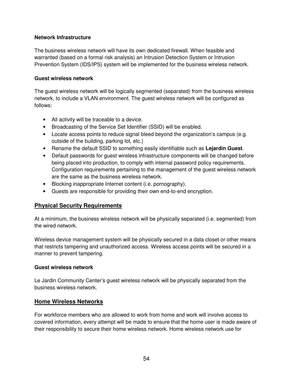#### **Network Infrastructure**

The business wireless network will have its own dedicated firewall. When feasible and warranted (based on a formal risk analysis) an Intrusion Detection System or Intrusion Prevention System (IDS/IPS) system will be implemented for the business wireless network.

#### **Guest wireless network**

The guest wireless network will be logically segmented (separated) from the business wireless network, to include a VLAN environment. The guest wireless network will be configured as follows:

- All activity will be traceable to a device.
- Broadcasting of the Service Set Identifier (SSID) will be enabled.
- Locate access points to reduce signal bleed beyond the organization's campus (e.g. outside of the building, parking lot, etc.)
- Rename the default SSID to something easily identifiable such as **Lejardin Guest**.
- Default passwords for guest wireless infrastructure components will be changed before being placed into production, to comply with internal password policy requirements. Configuration requirements pertaining to the management of the guest wireless network are the same as the business wireless network.
- Blocking inappropriate Internet content (i.e. pornography).
- Guests are responsible for providing their own end-to-end encryption.

#### **Physical Security Requirements**

At a minimum, the business wireless network will be physically separated (i.e. segmented) from the wired network.

Wireless device management system will be physically secured in a data closet or other means that restricts tampering and unauthorized access. Wireless access points will be secured in a manner to prevent tampering.

#### **Guest wireless network**

Le Jardin Community Center's guest wireless network will be physically separated from the business wireless network.

#### **Home Wireless Networks**

For workforce members who are allowed to work from home and work will involve access to covered information, every attempt will be made to ensure that the home user is made aware of their responsibility to secure their home wireless network. Home wireless network use for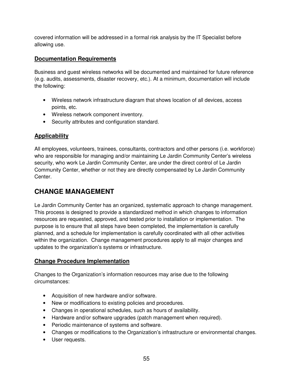covered information will be addressed in a formal risk analysis by the IT Specialist before allowing use.

## **Documentation Requirements**

Business and guest wireless networks will be documented and maintained for future reference (e.g. audits, assessments, disaster recovery, etc.). At a minimum, documentation will include the following:

- Wireless network infrastructure diagram that shows location of all devices, access points, etc.
- Wireless network component inventory.
- Security attributes and configuration standard.

## **Applicability**

All employees, volunteers, trainees, consultants, contractors and other persons (i.e. workforce) who are responsible for managing and/or maintaining Le Jardin Community Center's wireless security, who work Le Jardin Community Center, are under the direct control of Le Jardin Community Center, whether or not they are directly compensated by Le Jardin Community Center.

# **CHANGE MANAGEMENT**

Le Jardin Community Center has an organized, systematic approach to change management. This process is designed to provide a standardized method in which changes to information resources are requested, approved, and tested prior to installation or implementation. The purpose is to ensure that all steps have been completed, the implementation is carefully planned, and a schedule for implementation is carefully coordinated with all other activities within the organization. Change management procedures apply to all major changes and updates to the organization's systems or infrastructure.

## **Change Procedure Implementation**

Changes to the Organization's information resources may arise due to the following circumstances:

- Acquisition of new hardware and/or software.
- New or modifications to existing policies and procedures.
- Changes in operational schedules, such as hours of availability.
- Hardware and/or software upgrades (patch management when required).
- Periodic maintenance of systems and software.
- Changes or modifications to the Organization's infrastructure or environmental changes.
- User requests.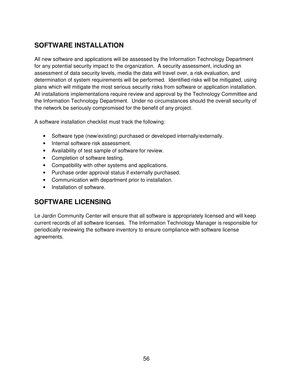# **SOFTWARE INSTALLATION**

All new software and applications will be assessed by the Information Technology Department for any potential security impact to the organization. A security assessment, including an assessment of data security levels, media the data will travel over, a risk evaluation, and determination of system requirements will be performed. Identified risks will be mitigated, using plans which will mitigate the most serious security risks from software or application installation. All installations implementations require review and approval by the Technology Committee and the Information Technology Department. Under no circumstances should the overall security of the network be seriously compromised for the benefit of any project.

A software installation checklist must track the following:

- Software type (new/existing) purchased or developed internally/externally.
- Internal software risk assessment.
- Availability of test sample of software for review.
- Completion of software testing.
- Compatibility with other systems and applications.
- Purchase order approval status if externally purchased.
- Communication with department prior to installation.
- Installation of software.

## **SOFTWARE LICENSING**

Le Jardin Community Center will ensure that all software is appropriately licensed and will keep current records of all software licenses. The Information Technology Manager is responsible for periodically reviewing the software inventory to ensure compliance with software license agreements.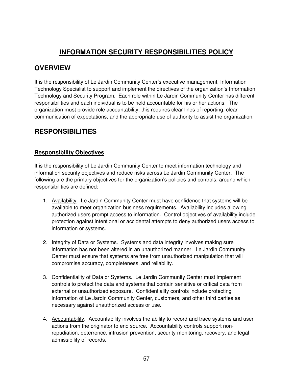## **INFORMATION SECURITY RESPONSIBILITIES POLICY**

## **OVERVIEW**

It is the responsibility of Le Jardin Community Center's executive management, Information Technology Specialist to support and implement the directives of the organization's Information Technology and Security Program. Each role within Le Jardin Community Center has different responsibilities and each individual is to be held accountable for his or her actions. The organization must provide role accountability, this requires clear lines of reporting, clear communication of expectations, and the appropriate use of authority to assist the organization.

## **RESPONSIBILITIES**

### **Responsibility Objectives**

It is the responsibility of Le Jardin Community Center to meet information technology and information security objectives and reduce risks across Le Jardin Community Center. The following are the primary objectives for the organization's policies and controls, around which responsibilities are defined:

- 1. Availability. Le Jardin Community Center must have confidence that systems will be available to meet organization business requirements. Availability includes allowing authorized users prompt access to information. Control objectives of availability include protection against intentional or accidental attempts to deny authorized users access to information or systems.
- 2. Integrity of Data or Systems. Systems and data integrity involves making sure information has not been altered in an unauthorized manner. Le Jardin Community Center must ensure that systems are free from unauthorized manipulation that will compromise accuracy, completeness, and reliability.
- 3. Confidentiality of Data or Systems. Le Jardin Community Center must implement controls to protect the data and systems that contain sensitive or critical data from external or unauthorized exposure. Confidentiality controls include protecting information of Le Jardin Community Center, customers, and other third parties as necessary against unauthorized access or use.
- 4. Accountability. Accountability involves the ability to record and trace systems and user actions from the originator to end source. Accountability controls support nonrepudiation, deterrence, intrusion prevention, security monitoring, recovery, and legal admissibility of records.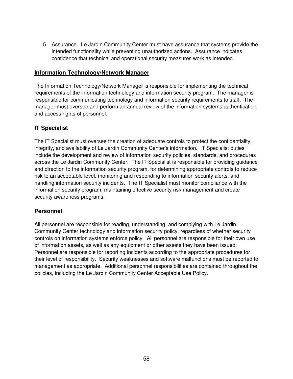5. Assurance. Le Jardin Community Center must have assurance that systems provide the intended functionality while preventing unauthorized actions. Assurance indicates confidence that technical and operational security measures work as intended.

#### **Information Technology/Network Manager**

The Information Technology/Network Manager is responsible for implementing the technical requirements of the information technology and information security program. The manager is responsible for communicating technology and information security requirements to staff. The manager must oversee and perform an annual review of the information systems authentication and access rights of personnel.

### **IT Specialist**

The IT Specialist must oversee the creation of adequate controls to protect the confidentiality, integrity, and availability of Le Jardin Community Center's information. IT Specialist duties include the development and review of information security policies, standards, and procedures across the Le Jardin Community Center. The IT Specialist is responsible for providing guidance and direction to the information security program, for determining appropriate controls to reduce risk to an acceptable level, monitoring and responding to information security alerts, and handling information security incidents. The IT Specialist must monitor compliance with the information security program, maintaining effective security risk management and create security awareness programs.

#### **Personnel**

All personnel are responsible for reading, understanding, and complying with Le Jardin Community Center technology and information security policy, regardless of whether security controls on information systems enforce policy. All personnel are responsible for their own use of information assets, as well as any equipment or other assets they have been issued. Personnel are responsible for reporting incidents according to the appropriate procedures for their level of responsibility. Security weaknesses and software malfunctions must be reported to management as appropriate. Additional personnel responsibilities are contained throughout the policies, including the Le Jardin Community Center Acceptable Use Policy.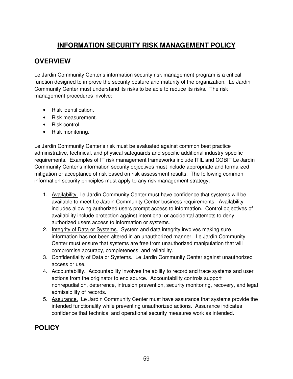# **INFORMATION SECURITY RISK MANAGEMENT POLICY**

# **OVERVIEW**

Le Jardin Community Center's information security risk management program is a critical function designed to improve the security posture and maturity of the organization. Le Jardin Community Center must understand its risks to be able to reduce its risks. The risk management procedures involve:

- Risk identification.
- Risk measurement.
- Risk control.
- Risk monitoring.

Le Jardin Community Center's risk must be evaluated against common best practice administrative, technical, and physical safeguards and specific additional industry-specific requirements. Examples of IT risk management frameworks include ITIL and COBIT Le Jardin Community Center's information security objectives must include appropriate and formalized mitigation or acceptance of risk based on risk assessment results. The following common information security principles must apply to any risk management strategy:

- 1. Availability. Le Jardin Community Center must have confidence that systems will be available to meet Le Jardin Community Center business requirements. Availability includes allowing authorized users prompt access to information. Control objectives of availability include protection against intentional or accidental attempts to deny authorized users access to information or systems.
- 2. Integrity of Data or Systems. System and data integrity involves making sure information has not been altered in an unauthorized manner. Le Jardin Community Center must ensure that systems are free from unauthorized manipulation that will compromise accuracy, completeness, and reliability.
- 3. Confidentiality of Data or Systems. Le Jardin Community Center against unauthorized access or use.
- 4. Accountability. Accountability involves the ability to record and trace systems and user actions from the originator to end source. Accountability controls support nonrepudiation, deterrence, intrusion prevention, security monitoring, recovery, and legal admissibility of records.
- 5. Assurance. Le Jardin Community Center must have assurance that systems provide the intended functionality while preventing unauthorized actions. Assurance indicates confidence that technical and operational security measures work as intended.

## **POLICY**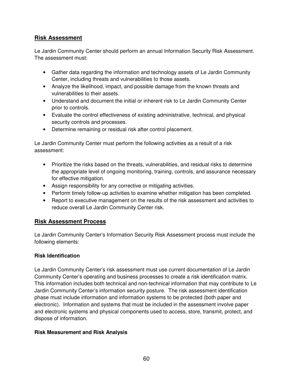### **Risk Assessment**

Le Jardin Community Center should perform an annual Information Security Risk Assessment. The assessment must:

- Gather data regarding the information and technology assets of Le Jardin Community Center, including threats and vulnerabilities to those assets.
- Analyze the likelihood, impact, and possible damage from the known threats and vulnerabilities to their assets.
- Understand and document the initial or inherent risk to Le Jardin Community Center prior to controls.
- Evaluate the control effectiveness of existing administrative, technical, and physical security controls and processes.
- Determine remaining or residual risk after control placement.

Le Jardin Community Center must perform the following activities as a result of a risk assessment:

- Prioritize the risks based on the threats, vulnerabilities, and residual risks to determine the appropriate level of ongoing monitoring, training, controls, and assurance necessary for effective mitigation.
- Assign responsibility for any corrective or mitigating activities.
- Perform timely follow-up activities to examine whether mitigation has been completed.
- Report to executive management on the results of the risk assessment and activities to reduce overall Le Jardin Community Center risk.

#### **Risk Assessment Process**

Le Jardin Community Center's Information Security Risk Assessment process must include the following elements:

#### **Risk Identification**

Le Jardin Community Center's risk assessment must use current documentation of Le Jardin Community Center's operating and business processes to create a risk identification matrix. This information includes both technical and non-technical information that may contribute to Le Jardin Community Center's information security posture. The risk assessment identification phase must include information and information systems to be protected (both paper and electronic). Information and systems that must be included in the assessment involve paper and electronic systems and physical components used to access, store, transmit, protect, and dispose of information.

#### **Risk Measurement and Risk Analysis**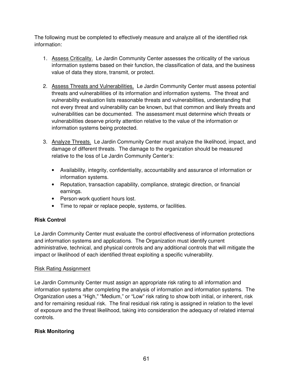The following must be completed to effectively measure and analyze all of the identified risk information:

- 1. Assess Criticality. Le Jardin Community Center assesses the criticality of the various information systems based on their function, the classification of data, and the business value of data they store, transmit, or protect.
- 2. Assess Threats and Vulnerabilities. Le Jardin Community Center must assess potential threats and vulnerabilities of its information and information systems. The threat and vulnerability evaluation lists reasonable threats and vulnerabilities, understanding that not every threat and vulnerability can be known, but that common and likely threats and vulnerabilities can be documented. The assessment must determine which threats or vulnerabilities deserve priority attention relative to the value of the information or information systems being protected.
- 3. Analyze Threats. Le Jardin Community Center must analyze the likelihood, impact, and damage of different threats. The damage to the organization should be measured relative to the loss of Le Jardin Community Center's:
	- Availability, integrity, confidentiality, accountability and assurance of information or information systems.
	- Reputation, transaction capability, compliance, strategic direction, or financial earnings.
	- Person-work quotient hours lost.
	- Time to repair or replace people, systems, or facilities.

#### **Risk Control**

Le Jardin Community Center must evaluate the control effectiveness of information protections and information systems and applications. The Organization must identify current administrative, technical, and physical controls and any additional controls that will mitigate the impact or likelihood of each identified threat exploiting a specific vulnerability.

#### Risk Rating Assignment

Le Jardin Community Center must assign an appropriate risk rating to all information and information systems after completing the analysis of information and information systems. The Organization uses a "High," "Medium," or "Low" risk rating to show both initial, or inherent, risk and for remaining residual risk. The final residual risk rating is assigned in relation to the level of exposure and the threat likelihood, taking into consideration the adequacy of related internal controls.

#### **Risk Monitoring**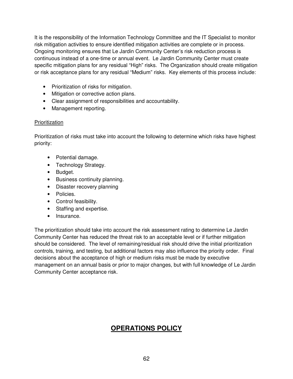It is the responsibility of the Information Technology Committee and the IT Specialist to monitor risk mitigation activities to ensure identified mitigation activities are complete or in process. Ongoing monitoring ensures that Le Jardin Community Center's risk reduction process is continuous instead of a one-time or annual event. Le Jardin Community Center must create specific mitigation plans for any residual "High" risks. The Organization should create mitigation or risk acceptance plans for any residual "Medium" risks. Key elements of this process include:

- Prioritization of risks for mitigation.
- Mitigation or corrective action plans.
- Clear assignment of responsibilities and accountability.
- Management reporting.

#### Prioritization

Prioritization of risks must take into account the following to determine which risks have highest priority:

- Potential damage.
- Technology Strategy.
- Budget.
- Business continuity planning.
- Disaster recovery planning
- Policies.
- Control feasibility.
- Staffing and expertise.
- Insurance.

The prioritization should take into account the risk assessment rating to determine Le Jardin Community Center has reduced the threat risk to an acceptable level or if further mitigation should be considered. The level of remaining/residual risk should drive the initial prioritization controls, training, and testing, but additional factors may also influence the priority order. Final decisions about the acceptance of high or medium risks must be made by executive management on an annual basis or prior to major changes, but with full knowledge of Le Jardin Community Center acceptance risk.

# **OPERATIONS POLICY**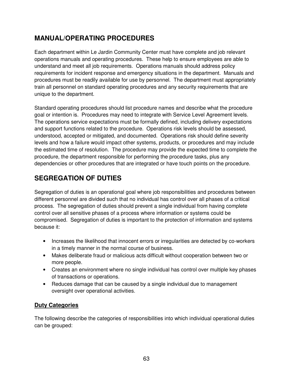## **MANUAL/OPERATING PROCEDURES**

Each department within Le Jardin Community Center must have complete and job relevant operations manuals and operating procedures. These help to ensure employees are able to understand and meet all job requirements. Operations manuals should address policy requirements for incident response and emergency situations in the department. Manuals and procedures must be readily available for use by personnel. The department must appropriately train all personnel on standard operating procedures and any security requirements that are unique to the department.

Standard operating procedures should list procedure names and describe what the procedure goal or intention is. Procedures may need to integrate with Service Level Agreement levels. The operations service expectations must be formally defined, including delivery expectations and support functions related to the procedure. Operations risk levels should be assessed, understood, accepted or mitigated, and documented. Operations risk should define severity levels and how a failure would impact other systems, products, or procedures and may include the estimated time of resolution. The procedure may provide the expected time to complete the procedure, the department responsible for performing the procedure tasks, plus any dependencies or other procedures that are integrated or have touch points on the procedure.

# **SEGREGATION OF DUTIES**

Segregation of duties is an operational goal where job responsibilities and procedures between different personnel are divided such that no individual has control over all phases of a critical process. The segregation of duties should prevent a single individual from having complete control over all sensitive phases of a process where information or systems could be compromised. Segregation of duties is important to the protection of information and systems because it:

- Increases the likelihood that innocent errors or irregularities are detected by co-workers in a timely manner in the normal course of business.
- Makes deliberate fraud or malicious acts difficult without cooperation between two or more people.
- Creates an environment where no single individual has control over multiple key phases of transactions or operations.
- Reduces damage that can be caused by a single individual due to management oversight over operational activities.

## **Duty Categories**

The following describe the categories of responsibilities into which individual operational duties can be grouped: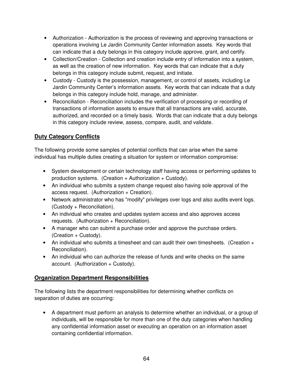- Authorization Authorization is the process of reviewing and approving transactions or operations involving Le Jardin Community Center information assets. Key words that can indicate that a duty belongs in this category include approve, grant, and certify.
- Collection/Creation Collection and creation include entry of information into a system, as well as the creation of new information. Key words that can indicate that a duty belongs in this category include submit, request, and initiate.
- Custody Custody is the possession, management, or control of assets, including Le Jardin Community Center's information assets. Key words that can indicate that a duty belongs in this category include hold, manage, and administer.
- Reconciliation Reconciliation includes the verification of processing or recording of transactions of information assets to ensure that all transactions are valid, accurate, authorized, and recorded on a timely basis. Words that can indicate that a duty belongs in this category include review, assess, compare, audit, and validate.

## **Duty Category Conflicts**

The following provide some samples of potential conflicts that can arise when the same individual has multiple duties creating a situation for system or information compromise:

- System development or certain technology staff having access or performing updates to production systems. (Creation + Authorization + Custody).
- An individual who submits a system change request also having sole approval of the access request. (Authorization + Creation).
- Network administrator who has "modify" privileges over logs and also audits event logs. (Custody + Reconciliation).
- An individual who creates and updates system access and also approves access requests. (Authorization + Reconciliation).
- A manager who can submit a purchase order and approve the purchase orders.  $(Creation + Custody).$
- An individual who submits a timesheet and can audit their own timesheets. (Creation + Reconciliation).
- An individual who can authorize the release of funds and write checks on the same  $account.$  (Authorization  $+$  Custody).

## **Organization Department Responsibilities**

The following lists the department responsibilities for determining whether conflicts on separation of duties are occurring:

• A department must perform an analysis to determine whether an individual, or a group of individuals, will be responsible for more than one of the duty categories when handling any confidential information asset or executing an operation on an information asset containing confidential information.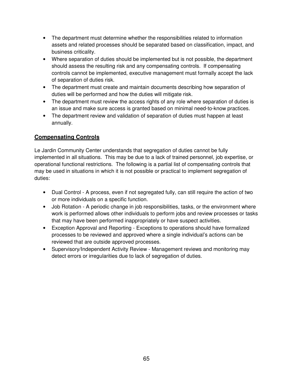- The department must determine whether the responsibilities related to information assets and related processes should be separated based on classification, impact, and business criticality.
- Where separation of duties should be implemented but is not possible, the department should assess the resulting risk and any compensating controls. If compensating controls cannot be implemented, executive management must formally accept the lack of separation of duties risk.
- The department must create and maintain documents describing how separation of duties will be performed and how the duties will mitigate risk.
- The department must review the access rights of any role where separation of duties is an issue and make sure access is granted based on minimal need-to-know practices.
- The department review and validation of separation of duties must happen at least annually.

## **Compensating Controls**

Le Jardin Community Center understands that segregation of duties cannot be fully implemented in all situations. This may be due to a lack of trained personnel, job expertise, or operational functional restrictions. The following is a partial list of compensating controls that may be used in situations in which it is not possible or practical to implement segregation of duties:

- Dual Control A process, even if not segregated fully, can still require the action of two or more individuals on a specific function.
- Job Rotation A periodic change in job responsibilities, tasks, or the environment where work is performed allows other individuals to perform jobs and review processes or tasks that may have been performed inappropriately or have suspect activities.
- Exception Approval and Reporting Exceptions to operations should have formalized processes to be reviewed and approved where a single individual's actions can be reviewed that are outside approved processes.
- Supervisory/Independent Activity Review Management reviews and monitoring may detect errors or irregularities due to lack of segregation of duties.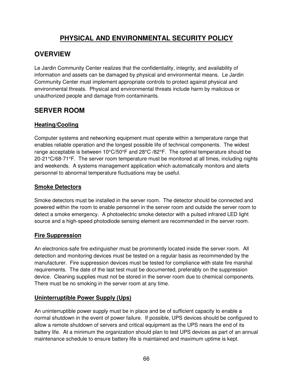## **PHYSICAL AND ENVIRONMENTAL SECURITY POLICY**

## **OVERVIEW**

Le Jardin Community Center realizes that the confidentiality, integrity, and availability of information and assets can be damaged by physical and environmental means. Le Jardin Community Center must implement appropriate controls to protect against physical and environmental threats. Physical and environmental threats include harm by malicious or unauthorized people and damage from contaminants.

## **SERVER ROOM**

### **Heating/Cooling**

Computer systems and networking equipment must operate within a temperature range that enables reliable operation and the longest possible life of technical components. The widest range acceptable is between 10°C/50°F and 28°C /82°F. The optimal temperature should be  $20-21\degree C/68-71\degree F$ . The server room temperature must be monitored at all times, including nights and weekends. A systems management application which automatically monitors and alerts personnel to abnormal temperature fluctuations may be useful.

### **Smoke Detectors**

Smoke detectors must be installed in the server room. The detector should be connected and powered within the room to enable personnel in the server room and outside the server room to detect a smoke emergency. A photoelectric smoke detector with a pulsed infrared LED light source and a high-speed photodiode sensing element are recommended in the server room.

#### **Fire Suppression**

An electronics‐safe fire extinguisher must be prominently located inside the server room. All detection and monitoring devices must be tested on a regular basis as recommended by the manufacturer. Fire suppression devices must be tested for compliance with state fire marshal requirements. The date of the last test must be documented, preferably on the suppression device. Cleaning supplies must not be stored in the server room due to chemical components. There must be no smoking in the server room at any time.

## **Uninterruptible Power Supply (Ups)**

An uninterruptible power supply must be in place and be of sufficient capacity to enable a normal shutdown in the event of power failure. If possible, UPS devices should be configured to allow a remote shutdown of servers and critical equipment as the UPS nears the end of its battery life. At a minimum the organization should plan to test UPS devices as part of an annual maintenance schedule to ensure battery life is maintained and maximum uptime is kept.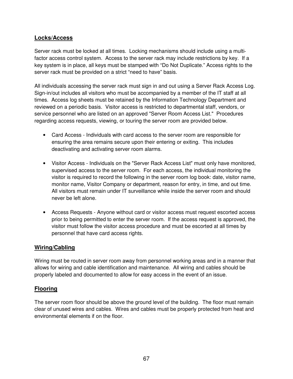#### **Locks/Access**

Server rack must be locked at all times. Locking mechanisms should include using a multi‐ factor access control system. Access to the server rack may include restrictions by key. If a key system is in place, all keys must be stamped with "Do Not Duplicate." Access rights to the server rack must be provided on a strict "need to have" basis.

All individuals accessing the server rack must sign in and out using a Server Rack Access Log. Sign-in/out includes all visitors who must be accompanied by a member of the IT staff at all times. Access log sheets must be retained by the Information Technology Department and reviewed on a periodic basis. Visitor access is restricted to departmental staff, vendors, or service personnel who are listed on an approved "Server Room Access List." Procedures regarding access requests, viewing, or touring the server room are provided below.

- Card Access Individuals with card access to the server room are responsible for ensuring the area remains secure upon their entering or exiting. This includes deactivating and activating server room alarms.
- Visitor Access Individuals on the "Server Rack Access List" must only have monitored, supervised access to the server room. For each access, the individual monitoring the visitor is required to record the following in the server room log book: date, visitor name, monitor name, Visitor Company or department, reason for entry, in time, and out time. All visitors must remain under IT surveillance while inside the server room and should never be left alone.
- Access Requests Anyone without card or visitor access must request escorted access prior to being permitted to enter the server room. If the access request is approved, the visitor must follow the visitor access procedure and must be escorted at all times by personnel that have card access rights.

#### **Wiring/Cabling**

Wiring must be routed in server room away from personnel working areas and in a manner that allows for wiring and cable identification and maintenance. All wiring and cables should be properly labeled and documented to allow for easy access in the event of an issue.

#### **Flooring**

The server room floor should be above the ground level of the building. The floor must remain clear of unused wires and cables. Wires and cables must be properly protected from heat and environmental elements if on the floor.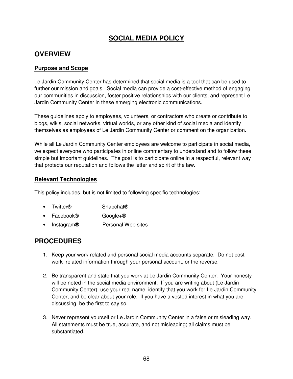## **SOCIAL MEDIA POLICY**

## **OVERVIEW**

#### **Purpose and Scope**

Le Jardin Community Center has determined that social media is a tool that can be used to further our mission and goals. Social media can provide a cost-effective method of engaging our communities in discussion, foster positive relationships with our clients, and represent Le Jardin Community Center in these emerging electronic communications.

These guidelines apply to employees, volunteers, or contractors who create or contribute to blogs, wikis, social networks, virtual worlds, or any other kind of social media and identify themselves as employees of Le Jardin Community Center or comment on the organization.

While all Le Jardin Community Center employees are welcome to participate in social media, we expect everyone who participates in online commentary to understand and to follow these simple but important guidelines. The goal is to participate online in a respectful, relevant way that protects our reputation and follows the letter and spirit of the law.

#### **Relevant Technologies**

This policy includes, but is not limited to following specific technologies:

- Twitter<sup>®</sup> Snapchat<sup>®</sup>
- Facebook® Google+®
- Instagram® Personal Web sites

## **PROCEDURES**

- 1. Keep your work-related and personal social media accounts separate. Do not post work–related information through your personal account, or the reverse.
- 2. Be transparent and state that you work at Le Jardin Community Center. Your honesty will be noted in the social media environment. If you are writing about (Le Jardin Community Center), use your real name, identify that you work for Le Jardin Community Center, and be clear about your role. If you have a vested interest in what you are discussing, be the first to say so.
- 3. Never represent yourself or Le Jardin Community Center in a false or misleading way. All statements must be true, accurate, and not misleading; all claims must be substantiated.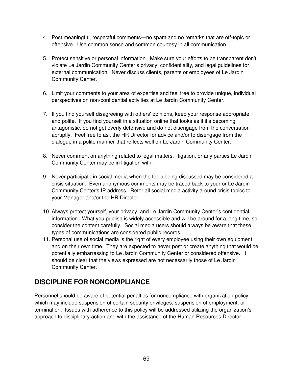- 4. Post meaningful, respectful comments—no spam and no remarks that are off-topic or offensive. Use common sense and common courtesy in all communication.
- 5. Protect sensitive or personal information. Make sure your efforts to be transparent don't violate Le Jardin Community Center's privacy, confidentiality, and legal guidelines for external communication. Never discuss clients, parents or employees of Le Jardin Community Center.
- 6. Limit your comments to your area of expertise and feel free to provide unique, individual perspectives on non-confidential activities at Le Jardin Community Center.
- 7. If you find yourself disagreeing with others' opinions, keep your response appropriate and polite. If you find yourself in a situation online that looks as if it's becoming antagonistic, do not get overly defensive and do not disengage from the conversation abruptly. Feel free to ask the HR Director for advice and/or to disengage from the dialogue in a polite manner that reflects well on Le Jardin Community Center.
- 8. Never comment on anything related to legal matters, litigation, or any parties Le Jardin Community Center may be in litigation with.
- 9. Never participate in social media when the topic being discussed may be considered a crisis situation. Even anonymous comments may be traced back to your or Le Jardin Community Center's IP address. Refer all social media activity around crisis topics to your Manager and/or the HR Director.
- 10. Always protect yourself, your privacy, and Le Jardin Community Center's confidential information. What you publish is widely accessible and will be around for a long time, so consider the content carefully. Social media users should always be aware that these types of communications are considered public records.
- 11. Personal use of social media is the right of every employee using their own equipment and on their own time. They are expected to never post or create anything that would be potentially embarrassing to Le Jardin Community Center or considered offensive. It should be clear that the views expressed are not necessarily those of Le Jardin Community Center.

## **DISCIPLINE FOR NONCOMPLIANCE**

Personnel should be aware of potential penalties for noncompliance with organization policy, which may include suspension of certain security privileges, suspension of employment, or termination. Issues with adherence to this policy will be addressed utilizing the organization's approach to disciplinary action and with the assistance of the Human Resources Director.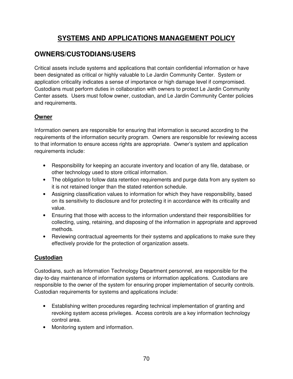# **SYSTEMS AND APPLICATIONS MANAGEMENT POLICY**

## **OWNERS/CUSTODIANS/USERS**

Critical assets include systems and applications that contain confidential information or have been designated as critical or highly valuable to Le Jardin Community Center. System or application criticality indicates a sense of importance or high damage level if compromised. Custodians must perform duties in collaboration with owners to protect Le Jardin Community Center assets. Users must follow owner, custodian, and Le Jardin Community Center policies and requirements.

### **Owner**

Information owners are responsible for ensuring that information is secured according to the requirements of the information security program. Owners are responsible for reviewing access to that information to ensure access rights are appropriate. Owner's system and application requirements include:

- Responsibility for keeping an accurate inventory and location of any file, database, or other technology used to store critical information.
- The obligation to follow data retention requirements and purge data from any system so it is not retained longer than the stated retention schedule.
- Assigning classification values to information for which they have responsibility, based on its sensitivity to disclosure and for protecting it in accordance with its criticality and value.
- Ensuring that those with access to the information understand their responsibilities for collecting, using, retaining, and disposing of the information in appropriate and approved methods.
- Reviewing contractual agreements for their systems and applications to make sure they effectively provide for the protection of organization assets.

## **Custodian**

Custodians, such as Information Technology Department personnel, are responsible for the day-to-day maintenance of information systems or information applications. Custodians are responsible to the owner of the system for ensuring proper implementation of security controls. Custodian requirements for systems and applications include:

- Establishing written procedures regarding technical implementation of granting and revoking system access privileges. Access controls are a key information technology control area.
- Monitoring system and information.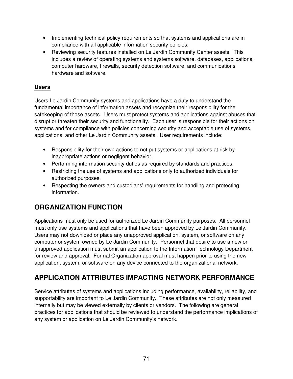- Implementing technical policy requirements so that systems and applications are in compliance with all applicable information security policies.
- Reviewing security features installed on Le Jardin Community Center assets. This includes a review of operating systems and systems software, databases, applications, computer hardware, firewalls, security detection software, and communications hardware and software.

## **Users**

Users Le Jardin Community systems and applications have a duty to understand the fundamental importance of information assets and recognize their responsibility for the safekeeping of those assets. Users must protect systems and applications against abuses that disrupt or threaten their security and functionality. Each user is responsible for their actions on systems and for compliance with policies concerning security and acceptable use of systems, applications, and other Le Jardin Community assets. User requirements include:

- Responsibility for their own actions to not put systems or applications at risk by inappropriate actions or negligent behavior.
- Performing information security duties as required by standards and practices.
- Restricting the use of systems and applications only to authorized individuals for authorized purposes.
- Respecting the owners and custodians' requirements for handling and protecting information.

# **ORGANIZATION FUNCTION**

Applications must only be used for authorized Le Jardin Community purposes. All personnel must only use systems and applications that have been approved by Le Jardin Community. Users may not download or place any unapproved application, system, or software on any computer or system owned by Le Jardin Community. Personnel that desire to use a new or unapproved application must submit an application to the Information Technology Department for review and approval. Formal Organization approval must happen prior to using the new application, system, or software on any device connected to the organizational network.

# **APPLICATION ATTRIBUTES IMPACTING NETWORK PERFORMANCE**

Service attributes of systems and applications including performance, availability, reliability, and supportability are important to Le Jardin Community. These attributes are not only measured internally but may be viewed externally by clients or vendors. The following are general practices for applications that should be reviewed to understand the performance implications of any system or application on Le Jardin Community's network.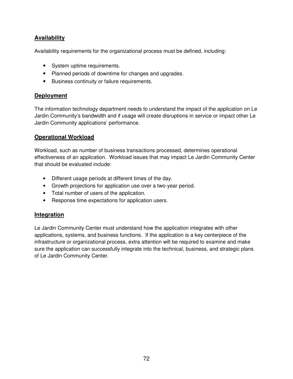## **Availability**

Availability requirements for the organizational process must be defined, including:

- System uptime requirements.
- Planned periods of downtime for changes and upgrades.
- Business continuity or failure requirements.

#### **Deployment**

The information technology department needs to understand the impact of the application on Le Jardin Community's bandwidth and if usage will create disruptions in service or impact other Le Jardin Community applications' performance.

#### **Operational Workload**

Workload, such as number of business transactions processed, determines operational effectiveness of an application. Workload issues that may impact Le Jardin Community Center that should be evaluated include:

- Different usage periods at different times of the day.
- Growth projections for application use over a two-year period.
- Total number of users of the application.
- Response time expectations for application users.

#### **Integration**

Le Jardin Community Center must understand how the application integrates with other applications, systems, and business functions. If the application is a key centerpiece of the infrastructure or organizational process, extra attention will be required to examine and make sure the application can successfully integrate into the technical, business, and strategic plans of Le Jardin Community Center.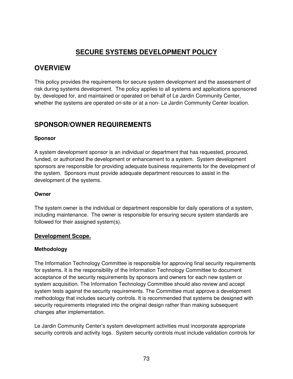# **SECURE SYSTEMS DEVELOPMENT POLICY**

### **OVERVIEW**

This policy provides the requirements for secure system development and the assessment of risk during systems development. The policy applies to all systems and applications sponsored by, developed for, and maintained or operated on behalf of Le Jardin Community Center, whether the systems are operated on-site or at a non- Le Jardin Community Center location.

## **SPONSOR/OWNER REQUIREMENTS**

#### **Sponsor**

A system development sponsor is an individual or department that has requested, procured, funded, or authorized the development or enhancement to a system. System development sponsors are responsible for providing adequate business requirements for the development of the system. Sponsors must provide adequate department resources to assist in the development of the systems.

#### **Owner**

The system owner is the individual or department responsible for daily operations of a system, including maintenance. The owner is responsible for ensuring secure system standards are followed for their assigned system(s).

#### **Development Scope.**

#### **Methodology**

The Information Technology Committee is responsible for approving final security requirements for systems. It is the responsibility of the Information Technology Committee to document acceptance of the security requirements by sponsors and owners for each new system or system acquisition. The Information Technology Committee should also review and accept system tests against the security requirements. The Committee must approve a development methodology that includes security controls. It is recommended that systems be designed with security requirements integrated into the original design rather than making subsequent changes after implementation.

Le Jardin Community Center's system development activities must incorporate appropriate security controls and activity logs. System security controls must include validation controls for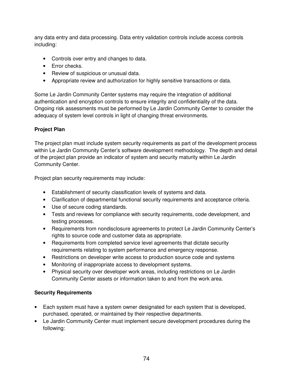any data entry and data processing. Data entry validation controls include access controls including:

- Controls over entry and changes to data.
- Error checks.
- Review of suspicious or unusual data.
- Appropriate review and authorization for highly sensitive transactions or data.

Some Le Jardin Community Center systems may require the integration of additional authentication and encryption controls to ensure integrity and confidentiality of the data. Ongoing risk assessments must be performed by Le Jardin Community Center to consider the adequacy of system level controls in light of changing threat environments.

#### **Project Plan**

The project plan must include system security requirements as part of the development process within Le Jardin Community Center's software development methodology. The depth and detail of the project plan provide an indicator of system and security maturity within Le Jardin Community Center.

Project plan security requirements may include:

- Establishment of security classification levels of systems and data.
- Clarification of departmental functional security requirements and acceptance criteria.
- Use of secure coding standards.
- Tests and reviews for compliance with security requirements, code development, and testing processes.
- Requirements from nondisclosure agreements to protect Le Jardin Community Center's rights to source code and customer data as appropriate.
- Requirements from completed service level agreements that dictate security requirements relating to system performance and emergency response.
- Restrictions on developer write access to production source code and systems
- Monitoring of inappropriate access to development systems.
- Physical security over developer work areas, including restrictions on Le Jardin Community Center assets or information taken to and from the work area.

#### **Security Requirements**

- Each system must have a system owner designated for each system that is developed, purchased, operated, or maintained by their respective departments.
- Le Jardin Community Center must implement secure development procedures during the following: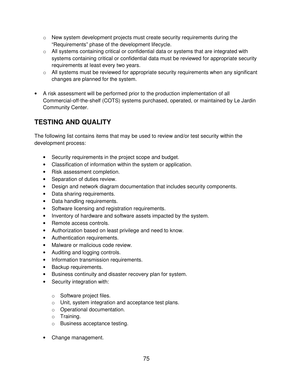- $\circ$  New system development projects must create security requirements during the "Requirements" phase of the development lifecycle.
- $\circ$  All systems containing critical or confidential data or systems that are integrated with systems containing critical or confidential data must be reviewed for appropriate security requirements at least every two years.
- $\circ$  All systems must be reviewed for appropriate security requirements when any significant changes are planned for the system.
- A risk assessment will be performed prior to the production implementation of all Commercial-off-the-shelf (COTS) systems purchased, operated, or maintained by Le Jardin Community Center.

# **TESTING AND QUALITY**

The following list contains items that may be used to review and/or test security within the development process:

- Security requirements in the project scope and budget.
- Classification of information within the system or application.
- Risk assessment completion.
- Separation of duties review.
- Design and network diagram documentation that includes security components.
- Data sharing requirements.
- Data handling requirements.
- Software licensing and registration requirements.
- Inventory of hardware and software assets impacted by the system.
- Remote access controls.
- Authorization based on least privilege and need to know.
- Authentication requirements.
- Malware or malicious code review.
- Auditing and logging controls.
- Information transmission requirements.
- Backup requirements.
- Business continuity and disaster recovery plan for system.
- Security integration with:
	- o Software project files.
	- o Unit, system integration and acceptance test plans.
	- o Operational documentation.
	- o Training.
	- o Business acceptance testing.
- Change management.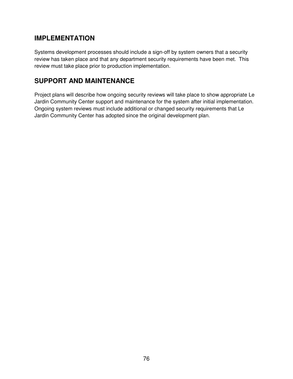## **IMPLEMENTATION**

Systems development processes should include a sign-off by system owners that a security review has taken place and that any department security requirements have been met. This review must take place prior to production implementation.

## **SUPPORT AND MAINTENANCE**

Project plans will describe how ongoing security reviews will take place to show appropriate Le Jardin Community Center support and maintenance for the system after initial implementation. Ongoing system reviews must include additional or changed security requirements that Le Jardin Community Center has adopted since the original development plan.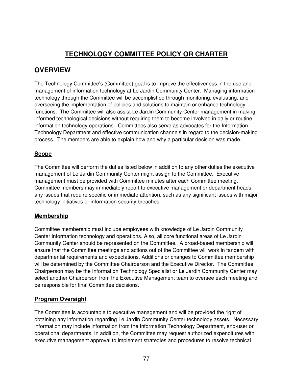# **TECHNOLOGY COMMITTEE POLICY OR CHARTER**

## **OVERVIEW**

The Technology Committee's (Committee) goal is to improve the effectiveness in the use and management of information technology at Le Jardin Community Center. Managing information technology through the Committee will be accomplished through monitoring, evaluating, and overseeing the implementation of policies and solutions to maintain or enhance technology functions. The Committee will also assist Le Jardin Community Center management in making informed technological decisions without requiring them to become involved in daily or routine information technology operations. Committees also serve as advocates for the Information Technology Department and effective communication channels in regard to the decision-making process. The members are able to explain how and why a particular decision was made.

### **Scope**

The Committee will perform the duties listed below in addition to any other duties the executive management of Le Jardin Community Center might assign to the Committee. Executive management must be provided with Committee minutes after each Committee meeting. Committee members may immediately report to executive management or department heads any issues that require specific or immediate attention, such as any significant issues with major technology initiatives or information security breaches.

### **Membership**

Committee membership must include employees with knowledge of Le Jardin Community Center information technology and operations. Also, all core functional areas of Le Jardin Community Center should be represented on the Committee. A broad-based membership will ensure that the Committee meetings and actions out of the Committee will work in tandem with departmental requirements and expectations. Additions or changes to Committee membership will be determined by the Committee Chairperson and the Executive Director. The Committee Chairperson may be the Information Technology Specialist or Le Jardin Community Center may select another Chairperson from the Executive Management team to oversee each meeting and be responsible for final Committee decisions.

### **Program Oversight**

The Committee is accountable to executive management and will be provided the right of obtaining any information regarding Le Jardin Community Center technology assets. Necessary information may include information from the Information Technology Department, end-user or operational departments. In addition, the Committee may request authorized expenditures with executive management approval to implement strategies and procedures to resolve technical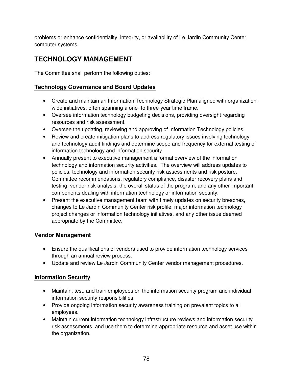problems or enhance confidentiality, integrity, or availability of Le Jardin Community Center computer systems.

# **TECHNOLOGY MANAGEMENT**

The Committee shall perform the following duties:

### **Technology Governance and Board Updates**

- Create and maintain an Information Technology Strategic Plan aligned with organizationwide initiatives, often spanning a one- to three-year time frame.
- Oversee information technology budgeting decisions, providing oversight regarding resources and risk assessment.
- Oversee the updating, reviewing and approving of Information Technology policies.
- Review and create mitigation plans to address regulatory issues involving technology and technology audit findings and determine scope and frequency for external testing of information technology and information security.
- Annually present to executive management a formal overview of the information technology and information security activities. The overview will address updates to policies, technology and information security risk assessments and risk posture, Committee recommendations, regulatory compliance, disaster recovery plans and testing, vendor risk analysis, the overall status of the program, and any other important components dealing with information technology or information security.
- Present the executive management team with timely updates on security breaches, changes to Le Jardin Community Center risk profile, major information technology project changes or information technology initiatives, and any other issue deemed appropriate by the Committee.

### **Vendor Management**

- Ensure the qualifications of vendors used to provide information technology services through an annual review process.
- Update and review Le Jardin Community Center vendor management procedures.

### **Information Security**

- Maintain, test, and train employees on the information security program and individual information security responsibilities.
- Provide ongoing information security awareness training on prevalent topics to all employees.
- Maintain current information technology infrastructure reviews and information security risk assessments, and use them to determine appropriate resource and asset use within the organization.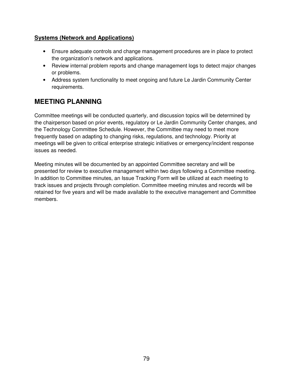#### **Systems (Network and Applications)**

- Ensure adequate controls and change management procedures are in place to protect the organization's network and applications.
- Review internal problem reports and change management logs to detect major changes or problems.
- Address system functionality to meet ongoing and future Le Jardin Community Center requirements.

## **MEETING PLANNING**

Committee meetings will be conducted quarterly, and discussion topics will be determined by the chairperson based on prior events, regulatory or Le Jardin Community Center changes, and the Technology Committee Schedule. However, the Committee may need to meet more frequently based on adapting to changing risks, regulations, and technology. Priority at meetings will be given to critical enterprise strategic initiatives or emergency/incident response issues as needed.

Meeting minutes will be documented by an appointed Committee secretary and will be presented for review to executive management within two days following a Committee meeting. In addition to Committee minutes, an Issue Tracking Form will be utilized at each meeting to track issues and projects through completion. Committee meeting minutes and records will be retained for five years and will be made available to the executive management and Committee members.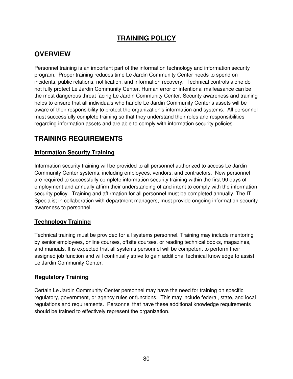# **TRAINING POLICY**

## **OVERVIEW**

Personnel training is an important part of the information technology and information security program. Proper training reduces time Le Jardin Community Center needs to spend on incidents, public relations, notification, and information recovery. Technical controls alone do not fully protect Le Jardin Community Center. Human error or intentional malfeasance can be the most dangerous threat facing Le Jardin Community Center. Security awareness and training helps to ensure that all individuals who handle Le Jardin Community Center's assets will be aware of their responsibility to protect the organization's information and systems. All personnel must successfully complete training so that they understand their roles and responsibilities regarding information assets and are able to comply with information security policies.

## **TRAINING REQUIREMENTS**

#### **Information Security Training**

Information security training will be provided to all personnel authorized to access Le Jardin Community Center systems, including employees, vendors, and contractors. New personnel are required to successfully complete information security training within the first 90 days of employment and annually affirm their understanding of and intent to comply with the information security policy. Training and affirmation for all personnel must be completed annually. The IT Specialist in collaboration with department managers, must provide ongoing information security awareness to personnel.

#### **Technology Training**

Technical training must be provided for all systems personnel. Training may include mentoring by senior employees, online courses, offsite courses, or reading technical books, magazines, and manuals. It is expected that all systems personnel will be competent to perform their assigned job function and will continually strive to gain additional technical knowledge to assist Le Jardin Community Center.

#### **Regulatory Training**

Certain Le Jardin Community Center personnel may have the need for training on specific regulatory, government, or agency rules or functions. This may include federal, state, and local regulations and requirements. Personnel that have these additional knowledge requirements should be trained to effectively represent the organization.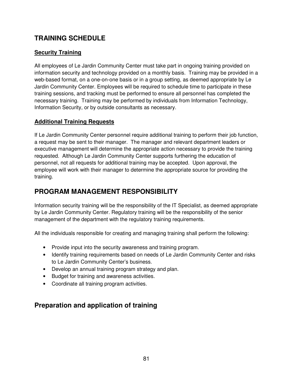## **TRAINING SCHEDULE**

### **Security Training**

All employees of Le Jardin Community Center must take part in ongoing training provided on information security and technology provided on a monthly basis. Training may be provided in a web-based format, on a one-on-one basis or in a group setting, as deemed appropriate by Le Jardin Community Center. Employees will be required to schedule time to participate in these training sessions, and tracking must be performed to ensure all personnel has completed the necessary training. Training may be performed by individuals from Information Technology, Information Security, or by outside consultants as necessary.

### **Additional Training Requests**

If Le Jardin Community Center personnel require additional training to perform their job function, a request may be sent to their manager. The manager and relevant department leaders or executive management will determine the appropriate action necessary to provide the training requested. Although Le Jardin Community Center supports furthering the education of personnel, not all requests for additional training may be accepted. Upon approval, the employee will work with their manager to determine the appropriate source for providing the training.

# **PROGRAM MANAGEMENT RESPONSIBILITY**

Information security training will be the responsibility of the IT Specialist, as deemed appropriate by Le Jardin Community Center. Regulatory training will be the responsibility of the senior management of the department with the regulatory training requirements.

All the individuals responsible for creating and managing training shall perform the following:

- Provide input into the security awareness and training program.
- Identify training requirements based on needs of Le Jardin Community Center and risks to Le Jardin Community Center's business.
- Develop an annual training program strategy and plan.
- Budget for training and awareness activities.
- Coordinate all training program activities.

## **Preparation and application of training**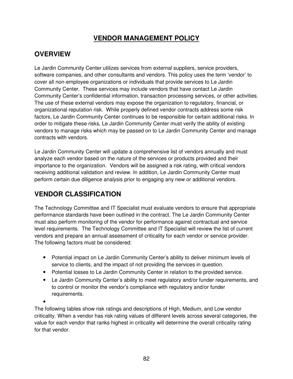# **VENDOR MANAGEMENT POLICY**

# **OVERVIEW**

Le Jardin Community Center utilizes services from external suppliers, service providers, software companies, and other consultants and vendors. This policy uses the term 'vendor' to cover all non-employee organizations or individuals that provide services to Le Jardin Community Center. These services may include vendors that have contact Le Jardin Community Center's confidential information, transaction processing services, or other activities. The use of these external vendors may expose the organization to regulatory, financial, or organizational reputation risk. While properly defined vendor contracts address some risk factors, Le Jardin Community Center continues to be responsible for certain additional risks. In order to mitigate these risks, Le Jardin Community Center must verify the ability of existing vendors to manage risks which may be passed on to Le Jardin Community Center and manage contracts with vendors.

Le Jardin Community Center will update a comprehensive list of vendors annually and must analyze each vendor based on the nature of the services or products provided and their importance to the organization. Vendors will be assigned a risk rating, with critical vendors receiving additional validation and review. In addition, Le Jardin Community Center must perform certain due diligence analysis prior to engaging any new or additional vendors.

# **VENDOR CLASSIFICATION**

The Technology Committee and IT Specialist must evaluate vendors to ensure that appropriate performance standards have been outlined in the contract. The Le Jardin Community Center must also perform monitoring of the vendor for performance against contractual and service level requirements. The Technology Committee and IT Specialist will review the list of current vendors and prepare an annual assessment of criticality for each vendor or service provider. The following factors must be considered:

- Potential impact on Le Jardin Community Center's ability to deliver minimum levels of service to clients, and the impact of not providing the services in question.
- Potential losses to Le Jardin Community Center in relation to the provided service.
- Le Jardin Community Center's ability to meet regulatory and/or funder requirements, and to control or monitor the vendor's compliance with regulatory and/or funder requirements.

•

The following tables show risk ratings and descriptions of High, Medium, and Low vendor criticality. When a vendor has risk rating values of different levels across several categories, the value for each vendor that ranks highest in criticality will determine the overall criticality rating for that vendor.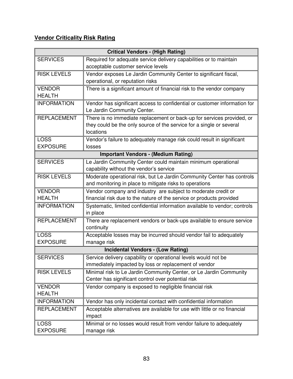## **Vendor Criticality Risk Rating**

| <b>Critical Vendors - (High Rating)</b>    |                                                                                        |
|--------------------------------------------|----------------------------------------------------------------------------------------|
| <b>SERVICES</b>                            | Required for adequate service delivery capabilities or to maintain                     |
|                                            | acceptable customer service levels                                                     |
| <b>RISK LEVELS</b>                         | Vendor exposes Le Jardin Community Center to significant fiscal,                       |
|                                            | operational, or reputation risks                                                       |
| <b>VENDOR</b>                              | There is a significant amount of financial risk to the vendor company                  |
| <b>HEALTH</b>                              |                                                                                        |
| <b>INFORMATION</b>                         | Vendor has significant access to confidential or customer information for              |
|                                            | Le Jardin Community Center.                                                            |
| <b>REPLACEMENT</b>                         | There is no immediate replacement or back-up for services provided, or                 |
|                                            | they could be the only source of the service for a single or several                   |
|                                            | locations                                                                              |
| <b>LOSS</b>                                | Vendor's failure to adequately manage risk could result in significant                 |
| <b>EXPOSURE</b>                            | losses                                                                                 |
| <b>Important Vendors - (Medium Rating)</b> |                                                                                        |
| <b>SERVICES</b>                            | Le Jardin Community Center could maintain minimum operational                          |
|                                            | capability without the vendor's service                                                |
| <b>RISK LEVELS</b>                         | Moderate operational risk, but Le Jardin Community Center has controls                 |
|                                            | and monitoring in place to mitigate risks to operations                                |
| <b>VENDOR</b>                              | Vendor company and industry are subject to moderate credit or                          |
| <b>HEALTH</b>                              | financial risk due to the nature of the service or products provided                   |
| <b>INFORMATION</b>                         | Systematic, limited confidential information available to vendor; controls<br>in place |
| <b>REPLACEMENT</b>                         | There are replacement vendors or back-ups available to ensure service                  |
|                                            | continuity                                                                             |
| <b>LOSS</b>                                | Acceptable losses may be incurred should vendor fail to adequately                     |
| <b>EXPOSURE</b>                            | manage risk                                                                            |
| <b>Incidental Vendors - (Low Rating)</b>   |                                                                                        |
| <b>SERVICES</b>                            | Service delivery capability or operational levels would not be                         |
|                                            | immediately impacted by loss or replacement of vendor                                  |
| <b>RISK LEVELS</b>                         | Minimal risk to Le Jardin Community Center, or Le Jardin Community                     |
|                                            | Center has significant control over potential risk                                     |
| <b>VENDOR</b>                              | Vendor company is exposed to negligible financial risk                                 |
| <b>HEALTH</b>                              |                                                                                        |
| <b>INFORMATION</b>                         | Vendor has only incidental contact with confidential information                       |
| <b>REPLACEMENT</b>                         | Acceptable alternatives are available for use with little or no financial<br>impact    |
| <b>LOSS</b>                                | Minimal or no losses would result from vendor failure to adequately                    |
| <b>EXPOSURE</b>                            | manage risk                                                                            |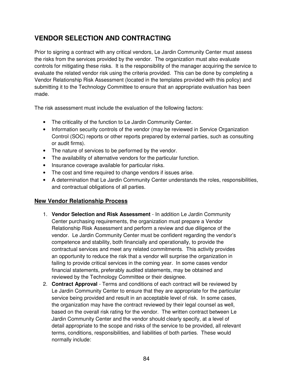# **VENDOR SELECTION AND CONTRACTING**

Prior to signing a contract with any critical vendors, Le Jardin Community Center must assess the risks from the services provided by the vendor. The organization must also evaluate controls for mitigating these risks. It is the responsibility of the manager acquiring the service to evaluate the related vendor risk using the criteria provided. This can be done by completing a Vendor Relationship Risk Assessment (located in the templates provided with this policy) and submitting it to the Technology Committee to ensure that an appropriate evaluation has been made.

The risk assessment must include the evaluation of the following factors:

- The criticality of the function to Le Jardin Community Center.
- Information security controls of the vendor (may be reviewed in Service Organization Control (SOC) reports or other reports prepared by external parties, such as consulting or audit firms).
- The nature of services to be performed by the vendor.
- The availability of alternative vendors for the particular function.
- Insurance coverage available for particular risks.
- The cost and time required to change vendors if issues arise.
- A determination that Le Jardin Community Center understands the roles, responsibilities, and contractual obligations of all parties.

#### **New Vendor Relationship Process**

- 1. **Vendor Selection and Risk Assessment** In addition Le Jardin Community Center purchasing requirements, the organization must prepare a Vendor Relationship Risk Assessment and perform a review and due diligence of the vendor. Le Jardin Community Center must be confident regarding the vendor's competence and stability, both financially and operationally, to provide the contractual services and meet any related commitments. This activity provides an opportunity to reduce the risk that a vendor will surprise the organization in failing to provide critical services in the coming year. In some cases vendor financial statements, preferably audited statements, may be obtained and reviewed by the Technology Committee or their designee.
- 2. **Contract Approval** Terms and conditions of each contract will be reviewed by Le Jardin Community Center to ensure that they are appropriate for the particular service being provided and result in an acceptable level of risk. In some cases, the organization may have the contract reviewed by their legal counsel as well, based on the overall risk rating for the vendor. The written contract between Le Jardin Community Center and the vendor should clearly specify, at a level of detail appropriate to the scope and risks of the service to be provided, all relevant terms, conditions, responsibilities, and liabilities of both parties. These would normally include: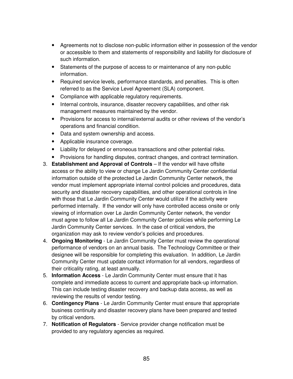- Agreements not to disclose non-public information either in possession of the vendor or accessible to them and statements of responsibility and liability for disclosure of such information.
- Statements of the purpose of access to or maintenance of any non-public information.
- Required service levels, performance standards, and penalties. This is often referred to as the Service Level Agreement (SLA) component.
- Compliance with applicable regulatory requirements.
- Internal controls, insurance, disaster recovery capabilities, and other risk management measures maintained by the vendor.
- Provisions for access to internal/external audits or other reviews of the vendor's operations and financial condition.
- Data and system ownership and access.
- Applicable insurance coverage.
- Liability for delayed or erroneous transactions and other potential risks.
- Provisions for handling disputes, contract changes, and contract termination.
- 3. **Establishment and Approval of Controls**  If the vendor will have offsite access or the ability to view or change Le Jardin Community Center confidential information outside of the protected Le Jardin Community Center network, the vendor must implement appropriate internal control policies and procedures, data security and disaster recovery capabilities, and other operational controls in line with those that Le Jardin Community Center would utilize if the activity were performed internally. If the vendor will only have controlled access onsite or only viewing of information over Le Jardin Community Center network, the vendor must agree to follow all Le Jardin Community Center policies while performing Le Jardin Community Center services. In the case of critical vendors, the organization may ask to review vendor's policies and procedures.
- 4. **Ongoing Monitoring** Le Jardin Community Center must review the operational performance of vendors on an annual basis. The Technology Committee or their designee will be responsible for completing this evaluation. In addition, Le Jardin Community Center must update contact information for all vendors, regardless of their criticality rating, at least annually.
- 5. **Information Access**  Le Jardin Community Center must ensure that it has complete and immediate access to current and appropriate back-up information. This can include testing disaster recovery and backup data access, as well as reviewing the results of vendor testing.
- 6. **Contingency Plans**  Le Jardin Community Center must ensure that appropriate business continuity and disaster recovery plans have been prepared and tested by critical vendors.
- 7. **Notification of Regulators**  Service provider change notification must be provided to any regulatory agencies as required.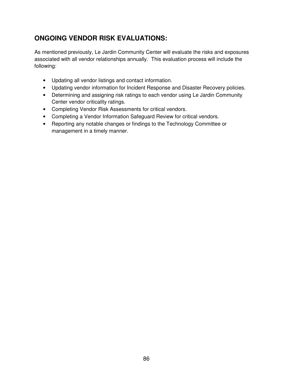# **ONGOING VENDOR RISK EVALUATIONS:**

As mentioned previously, Le Jardin Community Center will evaluate the risks and exposures associated with all vendor relationships annually. This evaluation process will include the following:

- Updating all vendor listings and contact information.
- Updating vendor information for Incident Response and Disaster Recovery policies.
- Determining and assigning risk ratings to each vendor using Le Jardin Community Center vendor criticality ratings.
- Completing Vendor Risk Assessments for critical vendors.
- Completing a Vendor Information Safeguard Review for critical vendors.
- Reporting any notable changes or findings to the Technology Committee or management in a timely manner.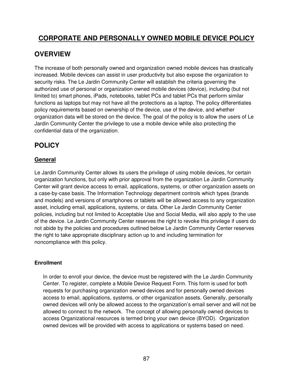## **CORPORATE AND PERSONALLY OWNED MOBILE DEVICE POLICY**

## **OVERVIEW**

The increase of both personally owned and organization owned mobile devices has drastically increased. Mobile devices can assist in user productivity but also expose the organization to security risks. The Le Jardin Community Center will establish the criteria governing the authorized use of personal or organization owned mobile devices (device), including (but not limited to) smart phones, iPads, notebooks, tablet PCs and tablet PCs that perform similar functions as laptops but may not have all the protections as a laptop. The policy differentiates policy requirements based on ownership of the device, use of the device, and whether organization data will be stored on the device. The goal of the policy is to allow the users of Le Jardin Community Center the privilege to use a mobile device while also protecting the confidential data of the organization.

# **POLICY**

### **General**

Le Jardin Community Center allows its users the privilege of using mobile devices, for certain organization functions, but only with prior approval from the organization Le Jardin Community Center will grant device access to email, applications, systems, or other organization assets on a case-by-case basis. The Information Technology department controls which types (brands and models) and versions of smartphones or tablets will be allowed access to any organization asset, including email, applications, systems, or data. Other Le Jardin Community Center policies, including but not limited to Acceptable Use and Social Media, will also apply to the use of the device. Le Jardin Community Center reserves the right to revoke this privilege if users do not abide by the policies and procedures outlined below Le Jardin Community Center reserves the right to take appropriate disciplinary action up to and including termination for noncompliance with this policy.

#### **Enrollment**

In order to enroll your device, the device must be registered with the Le Jardin Community Center. To register, complete a Mobile Device Request Form. This form is used for both requests for purchasing organization owned devices and for personally owned devices access to email, applications, systems, or other organization assets. Generally, personally owned devices will only be allowed access to the organization's email server and will not be allowed to connect to the network. The concept of allowing personally owned devices to access Organizational resources is termed bring your own device (BYOD). Organization owned devices will be provided with access to applications or systems based on need.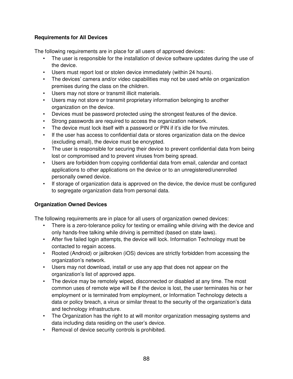#### **Requirements for All Devices**

The following requirements are in place for all users of approved devices:

- The user is responsible for the installation of device software updates during the use of the device.
- Users must report lost or stolen device immediately (within 24 hours).
- The devices' camera and/or video capabilities may not be used while on organization premises during the class on the children.
- Users may not store or transmit illicit materials.
- Users may not store or transmit proprietary information belonging to another organization on the device.
- Devices must be password protected using the strongest features of the device.
- Strong passwords are required to access the organization network.
- The device must lock itself with a password or PIN if it's idle for five minutes.
- If the user has access to confidential data or stores organization data on the device (excluding email), the device must be encrypted.
- The user is responsible for securing their device to prevent confidential data from being lost or compromised and to prevent viruses from being spread.
- Users are forbidden from copying confidential data from email, calendar and contact applications to other applications on the device or to an unregistered/unenrolled personally owned device.
- If storage of organization data is approved on the device, the device must be configured to segregate organization data from personal data.

#### **Organization Owned Devices**

The following requirements are in place for all users of organization owned devices:

- There is a zero-tolerance policy for texting or emailing while driving with the device and only hands-free talking while driving is permitted (based on state laws).
- After five failed login attempts, the device will lock. Information Technology must be contacted to regain access.
- Rooted (Android) or jailbroken (iOS) devices are strictly forbidden from accessing the organization's network.
- Users may not download, install or use any app that does not appear on the organization's list of approved apps.
- The device may be remotely wiped, disconnected or disabled at any time. The most common uses of remote wipe will be if the device is lost, the user terminates his or her employment or is terminated from employment, or Information Technology detects a data or policy breach, a virus or similar threat to the security of the organization's data and technology infrastructure.
- The Organization has the right to at will monitor organization messaging systems and data including data residing on the user's device.
- Removal of device security controls is prohibited.